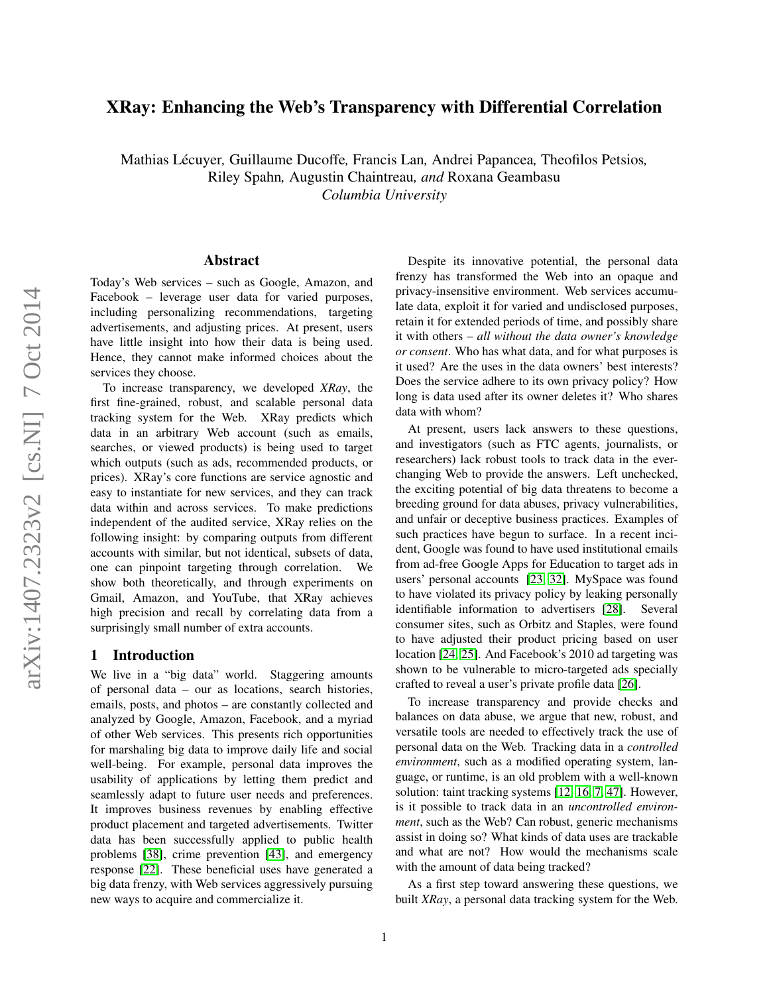# XRay: Enhancing the Web's Transparency with Differential Correlation

Mathias Lecuyer ´ *,* Guillaume Ducoffe*,* Francis Lan*,* Andrei Papancea*,* Theofilos Petsios*,* Riley Spahn*,* Augustin Chaintreau*, and* Roxana Geambasu *Columbia University*

### Abstract

Today's Web services – such as Google, Amazon, and Facebook – leverage user data for varied purposes, including personalizing recommendations, targeting advertisements, and adjusting prices. At present, users have little insight into how their data is being used. Hence, they cannot make informed choices about the services they choose.

To increase transparency, we developed *XRay*, the first fine-grained, robust, and scalable personal data tracking system for the Web. XRay predicts which data in an arbitrary Web account (such as emails, searches, or viewed products) is being used to target which outputs (such as ads, recommended products, or prices). XRay's core functions are service agnostic and easy to instantiate for new services, and they can track data within and across services. To make predictions independent of the audited service, XRay relies on the following insight: by comparing outputs from different accounts with similar, but not identical, subsets of data, one can pinpoint targeting through correlation. We show both theoretically, and through experiments on Gmail, Amazon, and YouTube, that XRay achieves high precision and recall by correlating data from a surprisingly small number of extra accounts.

### 1 Introduction

We live in a "big data" world. Staggering amounts of personal data – our as locations, search histories, emails, posts, and photos – are constantly collected and analyzed by Google, Amazon, Facebook, and a myriad of other Web services. This presents rich opportunities for marshaling big data to improve daily life and social well-being. For example, personal data improves the usability of applications by letting them predict and seamlessly adapt to future user needs and preferences. It improves business revenues by enabling effective product placement and targeted advertisements. Twitter data has been successfully applied to public health problems [\[38\]](#page-15-0), crime prevention [\[43\]](#page-15-1), and emergency response [\[22\]](#page-15-2). These beneficial uses have generated a big data frenzy, with Web services aggressively pursuing new ways to acquire and commercialize it.

Despite its innovative potential, the personal data frenzy has transformed the Web into an opaque and privacy-insensitive environment. Web services accumulate data, exploit it for varied and undisclosed purposes, retain it for extended periods of time, and possibly share it with others – *all without the data owner's knowledge or consent*. Who has what data, and for what purposes is it used? Are the uses in the data owners' best interests? Does the service adhere to its own privacy policy? How long is data used after its owner deletes it? Who shares data with whom?

At present, users lack answers to these questions, and investigators (such as FTC agents, journalists, or researchers) lack robust tools to track data in the everchanging Web to provide the answers. Left unchecked, the exciting potential of big data threatens to become a breeding ground for data abuses, privacy vulnerabilities, and unfair or deceptive business practices. Examples of such practices have begun to surface. In a recent incident, Google was found to have used institutional emails from ad-free Google Apps for Education to target ads in users' personal accounts [\[23,](#page-15-3) [32\]](#page-15-4). MySpace was found to have violated its privacy policy by leaking personally identifiable information to advertisers [\[28\]](#page-15-5). Several consumer sites, such as Orbitz and Staples, were found to have adjusted their product pricing based on user location [\[24,](#page-15-6) [25\]](#page-15-7). And Facebook's 2010 ad targeting was shown to be vulnerable to micro-targeted ads specially crafted to reveal a user's private profile data [\[26\]](#page-15-8).

To increase transparency and provide checks and balances on data abuse, we argue that new, robust, and versatile tools are needed to effectively track the use of personal data on the Web. Tracking data in a *controlled environment*, such as a modified operating system, language, or runtime, is an old problem with a well-known solution: taint tracking systems [\[12,](#page-14-0) [16,](#page-14-1) [7,](#page-14-2) [47\]](#page-15-9). However, is it possible to track data in an *uncontrolled environment*, such as the Web? Can robust, generic mechanisms assist in doing so? What kinds of data uses are trackable and what are not? How would the mechanisms scale with the amount of data being tracked?

As a first step toward answering these questions, we built *XRay*, a personal data tracking system for the Web.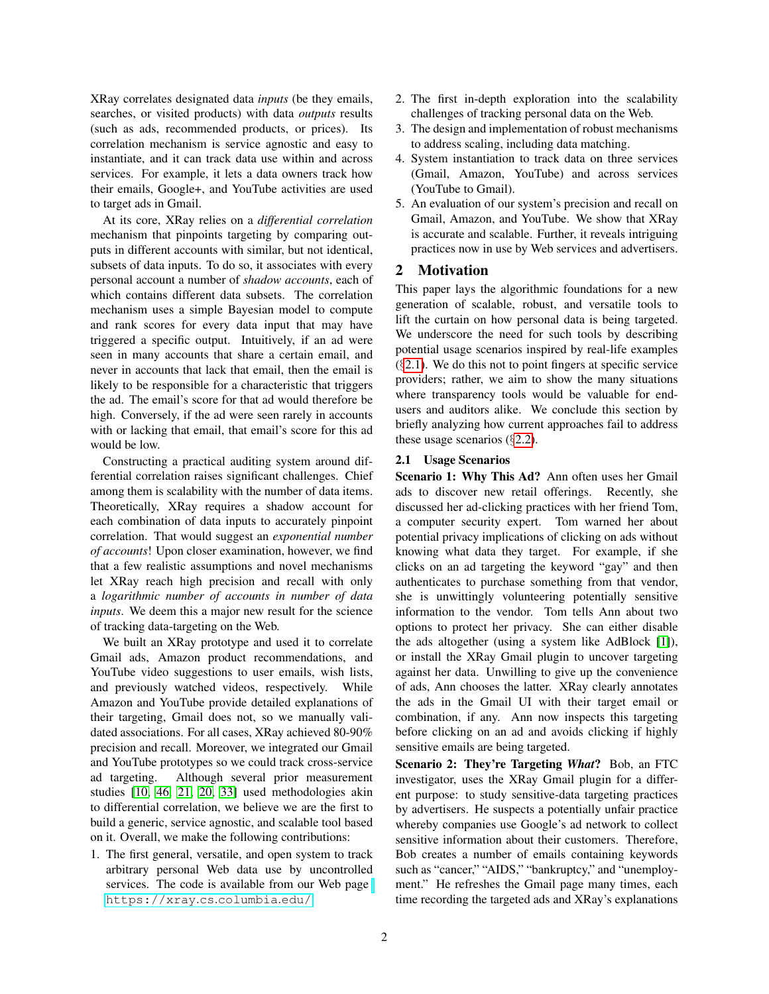XRay correlates designated data *inputs* (be they emails, searches, or visited products) with data *outputs* results (such as ads, recommended products, or prices). Its correlation mechanism is service agnostic and easy to instantiate, and it can track data use within and across services. For example, it lets a data owners track how their emails, Google+, and YouTube activities are used to target ads in Gmail.

At its core, XRay relies on a *differential correlation* mechanism that pinpoints targeting by comparing outputs in different accounts with similar, but not identical, subsets of data inputs. To do so, it associates with every personal account a number of *shadow accounts*, each of which contains different data subsets. The correlation mechanism uses a simple Bayesian model to compute and rank scores for every data input that may have triggered a specific output. Intuitively, if an ad were seen in many accounts that share a certain email, and never in accounts that lack that email, then the email is likely to be responsible for a characteristic that triggers the ad. The email's score for that ad would therefore be high. Conversely, if the ad were seen rarely in accounts with or lacking that email, that email's score for this ad would be low.

Constructing a practical auditing system around differential correlation raises significant challenges. Chief among them is scalability with the number of data items. Theoretically, XRay requires a shadow account for each combination of data inputs to accurately pinpoint correlation. That would suggest an *exponential number of accounts*! Upon closer examination, however, we find that a few realistic assumptions and novel mechanisms let XRay reach high precision and recall with only a *logarithmic number of accounts in number of data inputs*. We deem this a major new result for the science of tracking data-targeting on the Web.

We built an XRay prototype and used it to correlate Gmail ads, Amazon product recommendations, and YouTube video suggestions to user emails, wish lists, and previously watched videos, respectively. While Amazon and YouTube provide detailed explanations of their targeting, Gmail does not, so we manually validated associations. For all cases, XRay achieved 80-90% precision and recall. Moreover, we integrated our Gmail and YouTube prototypes so we could track cross-service ad targeting. Although several prior measurement studies [\[10,](#page-14-3) [46,](#page-15-10) [21,](#page-14-4) [20,](#page-14-5) [33\]](#page-15-11) used methodologies akin to differential correlation, we believe we are the first to build a generic, service agnostic, and scalable tool based on it. Overall, we make the following contributions:

1. The first general, versatile, and open system to track arbitrary personal Web data use by uncontrolled services. The code is available from our Web page [https://xray](https://xray.cs.columbia.edu/).cs.columbia.edu/.

- 2. The first in-depth exploration into the scalability challenges of tracking personal data on the Web.
- 3. The design and implementation of robust mechanisms to address scaling, including data matching.
- 4. System instantiation to track data on three services (Gmail, Amazon, YouTube) and across services (YouTube to Gmail).
- 5. An evaluation of our system's precision and recall on Gmail, Amazon, and YouTube. We show that XRay is accurate and scalable. Further, it reveals intriguing practices now in use by Web services and advertisers.

### 2 Motivation

This paper lays the algorithmic foundations for a new generation of scalable, robust, and versatile tools to lift the curtain on how personal data is being targeted. We underscore the need for such tools by describing potential usage scenarios inspired by real-life examples  $(\S2.1)$  $(\S2.1)$ . We do this not to point fingers at specific service providers; rather, we aim to show the many situations where transparency tools would be valuable for endusers and auditors alike. We conclude this section by briefly analyzing how current approaches fail to address these usage scenarios  $(\S2.2)$  $(\S2.2)$ .

#### <span id="page-1-0"></span>2.1 Usage Scenarios

Scenario 1: Why This Ad? Ann often uses her Gmail ads to discover new retail offerings. Recently, she discussed her ad-clicking practices with her friend Tom, a computer security expert. Tom warned her about potential privacy implications of clicking on ads without knowing what data they target. For example, if she clicks on an ad targeting the keyword "gay" and then authenticates to purchase something from that vendor, she is unwittingly volunteering potentially sensitive information to the vendor. Tom tells Ann about two options to protect her privacy. She can either disable the ads altogether (using a system like AdBlock [\[1\]](#page-14-6)), or install the XRay Gmail plugin to uncover targeting against her data. Unwilling to give up the convenience of ads, Ann chooses the latter. XRay clearly annotates the ads in the Gmail UI with their target email or combination, if any. Ann now inspects this targeting before clicking on an ad and avoids clicking if highly sensitive emails are being targeted.

Scenario 2: They're Targeting *What*? Bob, an FTC investigator, uses the XRay Gmail plugin for a different purpose: to study sensitive-data targeting practices by advertisers. He suspects a potentially unfair practice whereby companies use Google's ad network to collect sensitive information about their customers. Therefore, Bob creates a number of emails containing keywords such as "cancer," "AIDS," "bankruptcy," and "unemployment." He refreshes the Gmail page many times, each time recording the targeted ads and XRay's explanations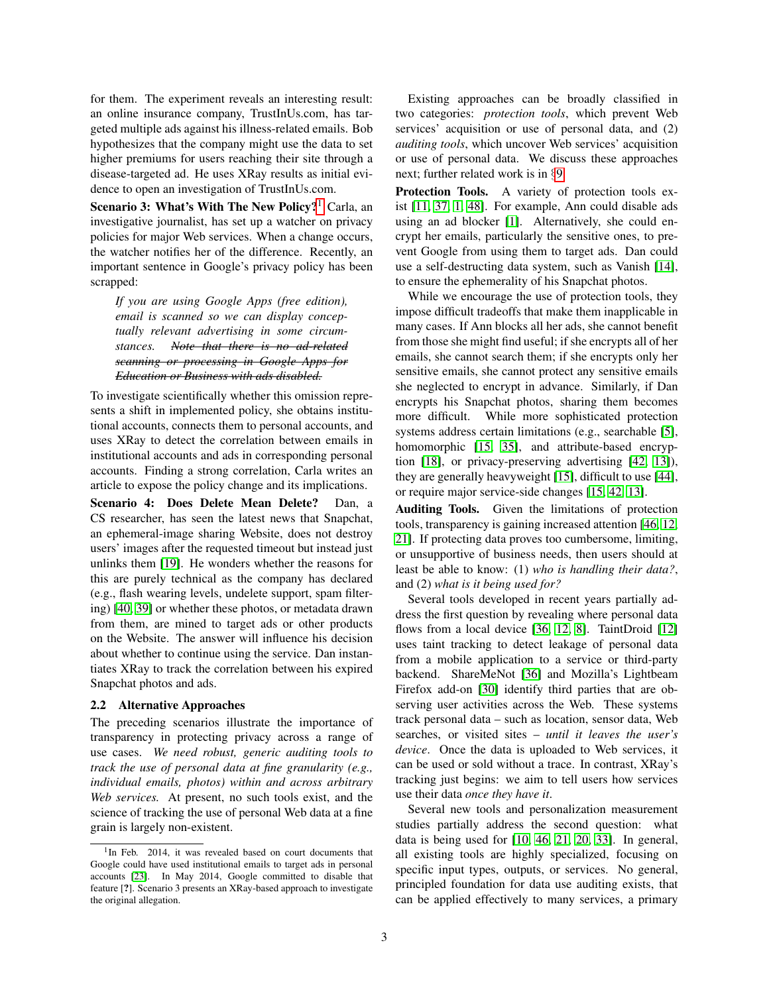for them. The experiment reveals an interesting result: an online insurance company, TrustInUs.com, has targeted multiple ads against his illness-related emails. Bob hypothesizes that the company might use the data to set higher premiums for users reaching their site through a disease-targeted ad. He uses XRay results as initial evidence to open an investigation of TrustInUs.com.

Scenario 3: What's With The New Policy?<sup>[1](#page-2-1)</sup> Carla, an investigative journalist, has set up a watcher on privacy policies for major Web services. When a change occurs, the watcher notifies her of the difference. Recently, an important sentence in Google's privacy policy has been scrapped:

*If you are using Google Apps (free edition), email is scanned so we can display conceptually relevant advertising in some circumstances. Note that there is no ad-related scanning or processing in Google Apps for Education or Business with ads disabled.*

To investigate scientifically whether this omission represents a shift in implemented policy, she obtains institutional accounts, connects them to personal accounts, and uses XRay to detect the correlation between emails in institutional accounts and ads in corresponding personal accounts. Finding a strong correlation, Carla writes an article to expose the policy change and its implications.

Scenario 4: Does Delete Mean Delete? Dan, a CS researcher, has seen the latest news that Snapchat, an ephemeral-image sharing Website, does not destroy users' images after the requested timeout but instead just unlinks them [\[19\]](#page-14-7). He wonders whether the reasons for this are purely technical as the company has declared (e.g., flash wearing levels, undelete support, spam filtering) [\[40,](#page-15-12) [39\]](#page-15-13) or whether these photos, or metadata drawn from them, are mined to target ads or other products on the Website. The answer will influence his decision about whether to continue using the service. Dan instantiates XRay to track the correlation between his expired Snapchat photos and ads.

### <span id="page-2-0"></span>2.2 Alternative Approaches

The preceding scenarios illustrate the importance of transparency in protecting privacy across a range of use cases. *We need robust, generic auditing tools to track the use of personal data at fine granularity (e.g., individual emails, photos) within and across arbitrary Web services.* At present, no such tools exist, and the science of tracking the use of personal Web data at a fine grain is largely non-existent.

Existing approaches can be broadly classified in two categories: *protection tools*, which prevent Web services' acquisition or use of personal data, and (2) *auditing tools*, which uncover Web services' acquisition or use of personal data. We discuss these approaches next; further related work is in §[9.](#page-13-0)

Protection Tools. A variety of protection tools exist [\[11,](#page-14-8) [37,](#page-15-14) [1,](#page-14-6) [48\]](#page-15-15). For example, Ann could disable ads using an ad blocker [\[1\]](#page-14-6). Alternatively, she could encrypt her emails, particularly the sensitive ones, to prevent Google from using them to target ads. Dan could use a self-destructing data system, such as Vanish [\[14\]](#page-14-9), to ensure the ephemerality of his Snapchat photos.

While we encourage the use of protection tools, they impose difficult tradeoffs that make them inapplicable in many cases. If Ann blocks all her ads, she cannot benefit from those she might find useful; if she encrypts all of her emails, she cannot search them; if she encrypts only her sensitive emails, she cannot protect any sensitive emails she neglected to encrypt in advance. Similarly, if Dan encrypts his Snapchat photos, sharing them becomes more difficult. While more sophisticated protection systems address certain limitations (e.g., searchable [\[5\]](#page-14-10), homomorphic [\[15,](#page-14-11) [35\]](#page-15-16), and attribute-based encryption [\[18\]](#page-14-12), or privacy-preserving advertising [\[42,](#page-15-17) [13\]](#page-14-13)), they are generally heavyweight [\[15\]](#page-14-11), difficult to use [\[44\]](#page-15-18), or require major service-side changes [\[15,](#page-14-11) [42,](#page-15-17) [13\]](#page-14-13).

Auditing Tools. Given the limitations of protection tools, transparency is gaining increased attention [\[46,](#page-15-10) [12,](#page-14-0) [21\]](#page-14-4). If protecting data proves too cumbersome, limiting, or unsupportive of business needs, then users should at least be able to know: (1) *who is handling their data?*, and (2) *what is it being used for?*

Several tools developed in recent years partially address the first question by revealing where personal data flows from a local device [\[36,](#page-15-19) [12,](#page-14-0) [8\]](#page-14-14). TaintDroid [\[12\]](#page-14-0) uses taint tracking to detect leakage of personal data from a mobile application to a service or third-party backend. ShareMeNot [\[36\]](#page-15-19) and Mozilla's Lightbeam Firefox add-on [\[30\]](#page-15-20) identify third parties that are observing user activities across the Web. These systems track personal data – such as location, sensor data, Web searches, or visited sites – *until it leaves the user's device*. Once the data is uploaded to Web services, it can be used or sold without a trace. In contrast, XRay's tracking just begins: we aim to tell users how services use their data *once they have it*.

Several new tools and personalization measurement studies partially address the second question: what data is being used for [\[10,](#page-14-3) [46,](#page-15-10) [21,](#page-14-4) [20,](#page-14-5) [33\]](#page-15-11). In general, all existing tools are highly specialized, focusing on specific input types, outputs, or services. No general, principled foundation for data use auditing exists, that can be applied effectively to many services, a primary

<span id="page-2-1"></span><sup>&</sup>lt;sup>1</sup>In Feb. 2014, it was revealed based on court documents that Google could have used institutional emails to target ads in personal accounts [\[23\]](#page-15-3). In May 2014, Google committed to disable that feature [?]. Scenario 3 presents an XRay-based approach to investigate the original allegation.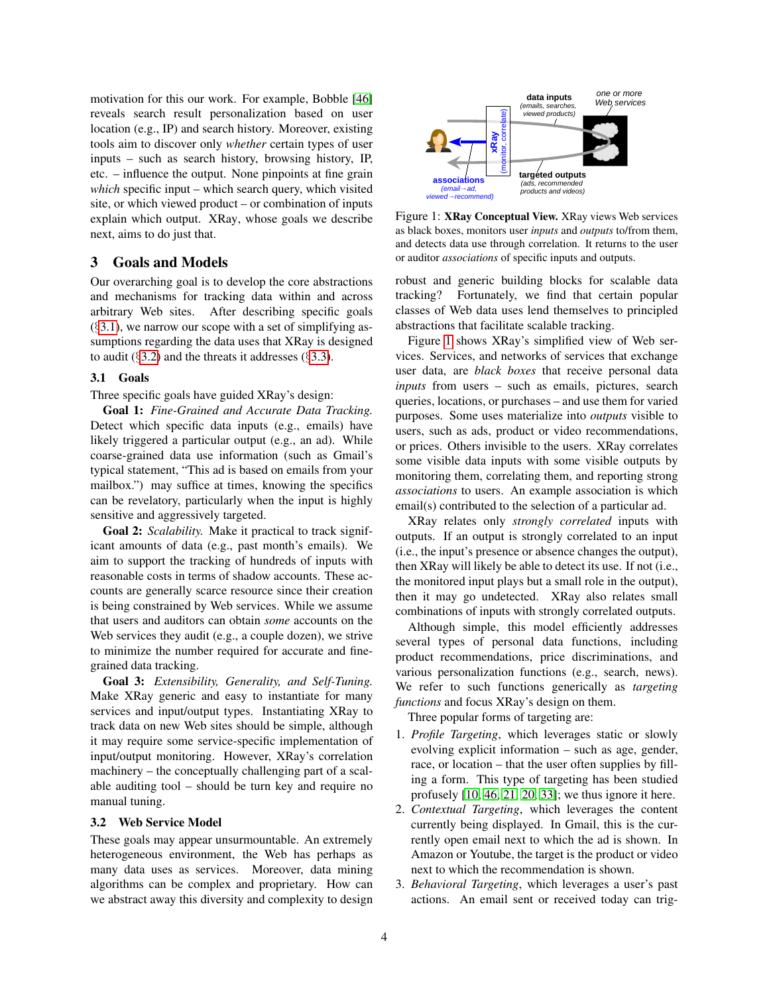motivation for this our work. For example, Bobble [\[46\]](#page-15-10) reveals search result personalization based on user location (e.g., IP) and search history. Moreover, existing tools aim to discover only *whether* certain types of user inputs – such as search history, browsing history, IP, etc. – influence the output. None pinpoints at fine grain *which* specific input – which search query, which visited site, or which viewed product – or combination of inputs explain which output. XRay, whose goals we describe next, aims to do just that.

# 3 Goals and Models

Our overarching goal is to develop the core abstractions and mechanisms for tracking data within and across arbitrary Web sites. After describing specific goals  $(83.1)$  $(83.1)$ , we narrow our scope with a set of simplifying assumptions regarding the data uses that XRay is designed to audit ( $\S$ [3.2\)](#page-3-1) and the threats it addresses ( $\S$ [3.3\)](#page-4-0).

### <span id="page-3-0"></span>3.1 Goals

### Three specific goals have guided XRay's design:

Goal 1: *Fine-Grained and Accurate Data Tracking.* Detect which specific data inputs (e.g., emails) have likely triggered a particular output (e.g., an ad). While coarse-grained data use information (such as Gmail's typical statement, "This ad is based on emails from your mailbox.") may suffice at times, knowing the specifics can be revelatory, particularly when the input is highly sensitive and aggressively targeted.

Goal 2: *Scalability.* Make it practical to track significant amounts of data (e.g., past month's emails). We aim to support the tracking of hundreds of inputs with reasonable costs in terms of shadow accounts. These accounts are generally scarce resource since their creation is being constrained by Web services. While we assume that users and auditors can obtain *some* accounts on the Web services they audit (e.g., a couple dozen), we strive to minimize the number required for accurate and finegrained data tracking. which specific map the specific societies in the specific societies of which specific input which search query, which visual and complexity are explained to the specific actions and Models and Models and the specific axis

Goal 3: *Extensibility, Generality, and Self-Tuning.* Make XRay generic and easy to instantiate for many services and input/output types. Instantiating XRay to track data on new Web sites should be simple, although it may require some service-specific implementation of input/output monitoring. However, XRay's correlation machinery – the conceptually challenging part of a scalable auditing tool – should be turn key and require no manual tuning.

#### <span id="page-3-1"></span>3.2 Web Service Model

These goals may appear unsurmountable. An extremely heterogeneous environment, the Web has perhaps as many data uses as services. Moreover, data mining algorithms can be complex and proprietary. How can



<span id="page-3-2"></span>Figure 1: XRay Conceptual View. XRay views Web services as black boxes, monitors user *inputs* and *outputs* to/from them, and detects data use through correlation. It returns to the user or auditor *associations* of specific inputs and outputs.

robust and generic building blocks for scalable data tracking? Fortunately, we find that certain popular classes of Web data uses lend themselves to principled abstractions that facilitate scalable tracking.

Figure [1](#page-3-2) shows XRay's simplified view of Web services. Services, and networks of services that exchange user data, are *black boxes* that receive personal data *inputs* from users – such as emails, pictures, search queries, locations, or purchases – and use them for varied purposes. Some uses materialize into *outputs* visible to users, such as ads, product or video recommendations, or prices. Others invisible to the users. XRay correlates some visible data inputs with some visible outputs by monitoring them, correlating them, and reporting strong *associations* to users. An example association is which email(s) contributed to the selection of a particular ad.

XRay relates only *strongly correlated* inputs with outputs. If an output is strongly correlated to an input (i.e., the input's presence or absence changes the output), then XRay will likely be able to detect its use. If not (i.e., the monitored input plays but a small role in the output), then it may go undetected. XRay also relates small combinations of inputs with strongly correlated outputs.

Although simple, this model efficiently addresses several types of personal data functions, including product recommendations, price discriminations, and various personalization functions (e.g., search, news). We refer to such functions generically as *targeting functions* and focus XRay's design on them.

Three popular forms of targeting are:

- 1. *Profile Targeting*, which leverages static or slowly evolving explicit information – such as age, gender, race, or location – that the user often supplies by filling a form. This type of targeting has been studied profusely  $[10, 46, 21, 20, 33]$  $[10, 46, 21, 20, 33]$  $[10, 46, 21, 20, 33]$  $[10, 46, 21, 20, 33]$  $[10, 46, 21, 20, 33]$ ; we thus ignore it here.
- 2. *Contextual Targeting*, which leverages the content currently being displayed. In Gmail, this is the currently open email next to which the ad is shown. In Amazon or Youtube, the target is the product or video next to which the recommendation is shown.
- 3. *Behavioral Targeting*, which leverages a user's past actions. An email sent or received today can trig-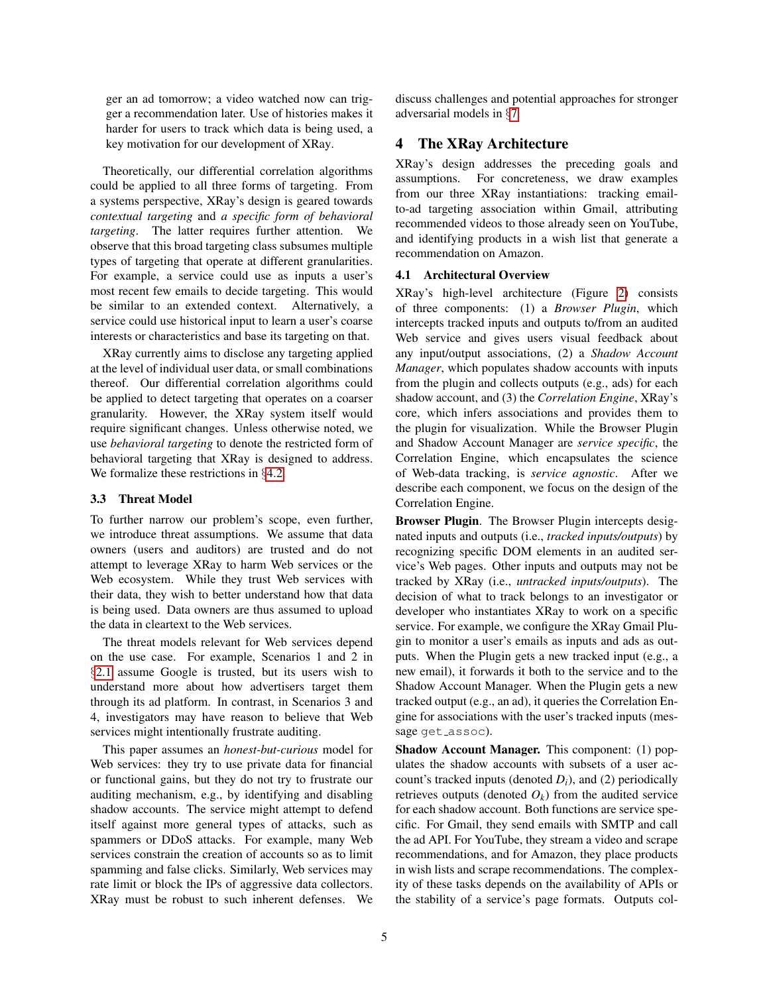ger an ad tomorrow; a video watched now can trigger a recommendation later. Use of histories makes it harder for users to track which data is being used, a key motivation for our development of XRay.

Theoretically, our differential correlation algorithms could be applied to all three forms of targeting. From a systems perspective, XRay's design is geared towards *contextual targeting* and *a specific form of behavioral targeting*. The latter requires further attention. We observe that this broad targeting class subsumes multiple types of targeting that operate at different granularities. For example, a service could use as inputs a user's most recent few emails to decide targeting. This would be similar to an extended context. Alternatively, a service could use historical input to learn a user's coarse interests or characteristics and base its targeting on that.

XRay currently aims to disclose any targeting applied at the level of individual user data, or small combinations thereof. Our differential correlation algorithms could be applied to detect targeting that operates on a coarser granularity. However, the XRay system itself would require significant changes. Unless otherwise noted, we use *behavioral targeting* to denote the restricted form of behavioral targeting that XRay is designed to address. We formalize these restrictions in §[4.2.](#page-5-0)

#### <span id="page-4-0"></span>3.3 Threat Model

To further narrow our problem's scope, even further, we introduce threat assumptions. We assume that data owners (users and auditors) are trusted and do not attempt to leverage XRay to harm Web services or the Web ecosystem. While they trust Web services with their data, they wish to better understand how that data is being used. Data owners are thus assumed to upload the data in cleartext to the Web services.

The threat models relevant for Web services depend on the use case. For example, Scenarios 1 and 2 in §[2.1](#page-1-0) assume Google is trusted, but its users wish to understand more about how advertisers target them through its ad platform. In contrast, in Scenarios 3 and 4, investigators may have reason to believe that Web services might intentionally frustrate auditing.

This paper assumes an *honest-but-curious* model for Web services: they try to use private data for financial or functional gains, but they do not try to frustrate our auditing mechanism, e.g., by identifying and disabling shadow accounts. The service might attempt to defend itself against more general types of attacks, such as spammers or DDoS attacks. For example, many Web services constrain the creation of accounts so as to limit spamming and false clicks. Similarly, Web services may rate limit or block the IPs of aggressive data collectors. XRay must be robust to such inherent defenses. We discuss challenges and potential approaches for stronger adversarial models in §[7.](#page-12-0)

# 4 The XRay Architecture

XRay's design addresses the preceding goals and assumptions. For concreteness, we draw examples from our three XRay instantiations: tracking emailto-ad targeting association within Gmail, attributing recommended videos to those already seen on YouTube, and identifying products in a wish list that generate a recommendation on Amazon.

### 4.1 Architectural Overview

XRay's high-level architecture (Figure [2\)](#page-5-1) consists of three components: (1) a *Browser Plugin*, which intercepts tracked inputs and outputs to/from an audited Web service and gives users visual feedback about any input/output associations, (2) a *Shadow Account Manager*, which populates shadow accounts with inputs from the plugin and collects outputs (e.g., ads) for each shadow account, and (3) the *Correlation Engine*, XRay's core, which infers associations and provides them to the plugin for visualization. While the Browser Plugin and Shadow Account Manager are *service specific*, the Correlation Engine, which encapsulates the science of Web-data tracking, is *service agnostic*. After we describe each component, we focus on the design of the Correlation Engine.

Browser Plugin. The Browser Plugin intercepts designated inputs and outputs (i.e., *tracked inputs/outputs*) by recognizing specific DOM elements in an audited service's Web pages. Other inputs and outputs may not be tracked by XRay (i.e., *untracked inputs/outputs*). The decision of what to track belongs to an investigator or developer who instantiates XRay to work on a specific service. For example, we configure the XRay Gmail Plugin to monitor a user's emails as inputs and ads as outputs. When the Plugin gets a new tracked input (e.g., a new email), it forwards it both to the service and to the Shadow Account Manager. When the Plugin gets a new tracked output (e.g., an ad), it queries the Correlation Engine for associations with the user's tracked inputs (message get\_assoc).

Shadow Account Manager. This component: (1) populates the shadow accounts with subsets of a user account's tracked inputs (denoted *Di*), and (2) periodically retrieves outputs (denoted  $O_k$ ) from the audited service for each shadow account. Both functions are service specific. For Gmail, they send emails with SMTP and call the ad API. For YouTube, they stream a video and scrape recommendations, and for Amazon, they place products in wish lists and scrape recommendations. The complexity of these tasks depends on the availability of APIs or the stability of a service's page formats. Outputs col-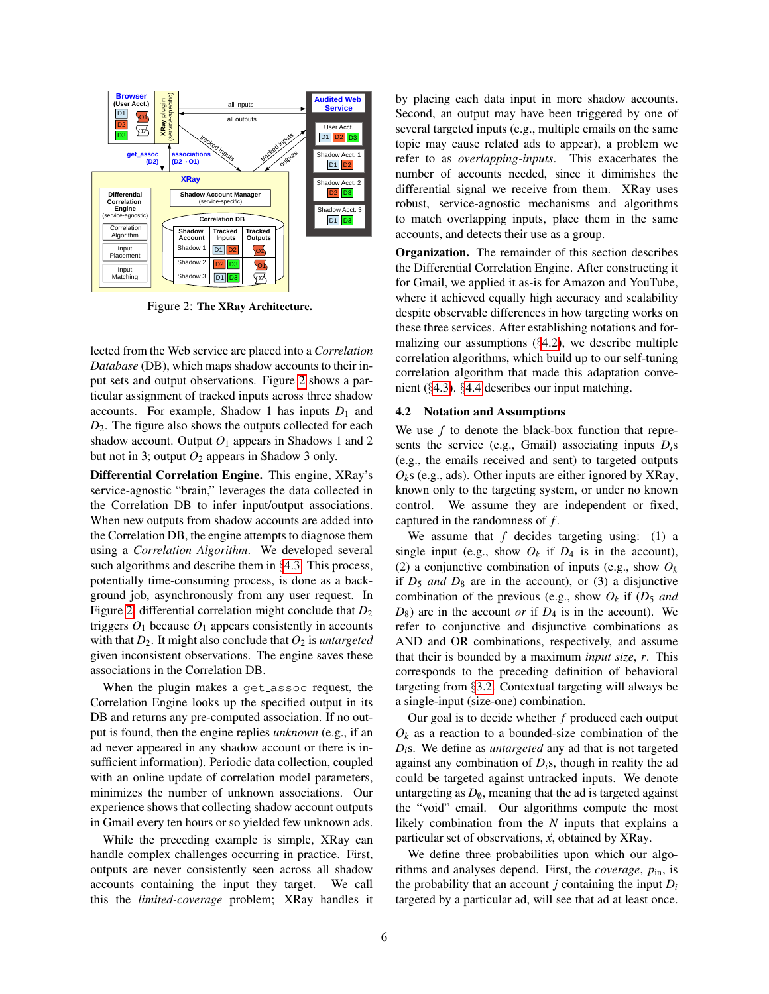

<span id="page-5-1"></span>Figure 2: The XRay Architecture.

lected from the Web service are placed into a *Correlation Database* (DB), which maps shadow accounts to their input sets and output observations. Figure [2](#page-5-1) shows a particular assignment of tracked inputs across three shadow accounts. For example, Shadow 1 has inputs  $D_1$  and *D*2. The figure also shows the outputs collected for each shadow account. Output  $O_1$  appears in Shadows 1 and 2 but not in 3; output  $O_2$  appears in Shadow 3 only.

Differential Correlation Engine. This engine, XRay's service-agnostic "brain," leverages the data collected in the Correlation DB to infer input/output associations. When new outputs from shadow accounts are added into the Correlation DB, the engine attempts to diagnose them using a *Correlation Algorithm*. We developed several such algorithms and describe them in §[4.3.](#page-6-0) This process, potentially time-consuming process, is done as a background job, asynchronously from any user request. In Figure [2,](#page-5-1) differential correlation might conclude that  $D_2$ triggers  $O_1$  because  $O_1$  appears consistently in accounts with that *D*2. It might also conclude that *O*<sup>2</sup> is *untargeted* given inconsistent observations. The engine saves these associations in the Correlation DB.

When the plugin makes a get assoc request, the Correlation Engine looks up the specified output in its DB and returns any pre-computed association. If no output is found, then the engine replies *unknown* (e.g., if an ad never appeared in any shadow account or there is insufficient information). Periodic data collection, coupled with an online update of correlation model parameters, minimizes the number of unknown associations. Our experience shows that collecting shadow account outputs in Gmail every ten hours or so yielded few unknown ads.

While the preceding example is simple, XRay can handle complex challenges occurring in practice. First, outputs are never consistently seen across all shadow accounts containing the input they target. We call this the *limited-coverage* problem; XRay handles it by placing each data input in more shadow accounts. Second, an output may have been triggered by one of several targeted inputs (e.g., multiple emails on the same topic may cause related ads to appear), a problem we refer to as *overlapping-inputs*. This exacerbates the number of accounts needed, since it diminishes the differential signal we receive from them. XRay uses robust, service-agnostic mechanisms and algorithms to match overlapping inputs, place them in the same accounts, and detects their use as a group.

Organization. The remainder of this section describes the Differential Correlation Engine. After constructing it for Gmail, we applied it as-is for Amazon and YouTube, where it achieved equally high accuracy and scalability despite observable differences in how targeting works on these three services. After establishing notations and formalizing our assumptions  $(\S4.2)$  $(\S4.2)$ , we describe multiple correlation algorithms, which build up to our self-tuning correlation algorithm that made this adaptation convenient (§[4.3\)](#page-6-0). §[4.4](#page-8-0) describes our input matching.

#### <span id="page-5-0"></span>4.2 Notation and Assumptions

We use *f* to denote the black-box function that represents the service (e.g., Gmail) associating inputs *Di*s (e.g., the emails received and sent) to targeted outputs  $O_k$ s (e.g., ads). Other inputs are either ignored by XRay, known only to the targeting system, or under no known control. We assume they are independent or fixed, captured in the randomness of *f* .

We assume that  $f$  decides targeting using: (1) a single input (e.g., show  $O_k$  if  $D_4$  is in the account), (2) a conjunctive combination of inputs (e.g., show  $O_k$ ) if  $D_5$  *and*  $D_8$  are in the account), or (3) a disjunctive combination of the previous (e.g., show  $O_k$  if ( $D_5$  *and*  $D_8$ ) are in the account *or* if  $D_4$  is in the account). We refer to conjunctive and disjunctive combinations as AND and OR combinations, respectively, and assume that their is bounded by a maximum *input size*, *r*. This corresponds to the preceding definition of behavioral targeting from §[3.2.](#page-3-1) Contextual targeting will always be a single-input (size-one) combination.

Our goal is to decide whether *f* produced each output  $O_k$  as a reaction to a bounded-size combination of the *Di*s. We define as *untargeted* any ad that is not targeted against any combination of *Di*s, though in reality the ad could be targeted against untracked inputs. We denote untargeting as  $D_{\theta}$ , meaning that the ad is targeted against the "void" email. Our algorithms compute the most likely combination from the *N* inputs that explains a particular set of observations,  $\vec{x}$ , obtained by XRay.

We define three probabilities upon which our algorithms and analyses depend. First, the *coverage*, *p*in, is the probability that an account  $j$  containing the input  $D_i$ targeted by a particular ad, will see that ad at least once.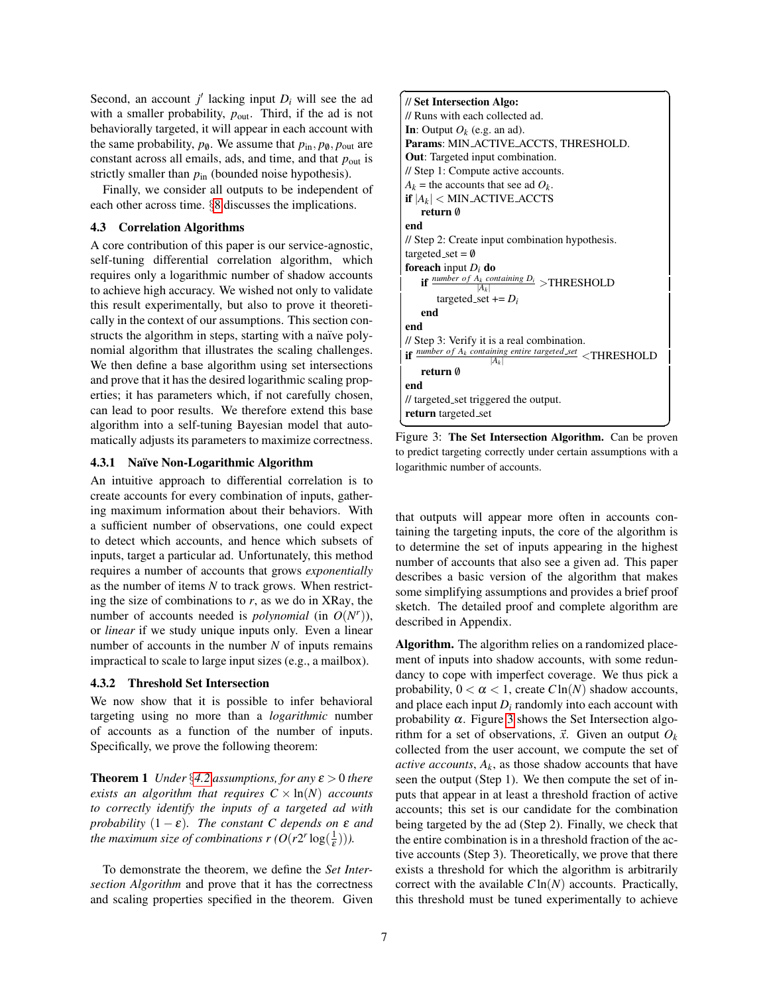Second, an account  $j'$  lacking input  $D_i$  will see the ad with a smaller probability,  $p_{\text{out}}$ . Third, if the ad is not behaviorally targeted, it will appear in each account with the same probability,  $p_{\theta}$ . We assume that  $p_{\text{in}}$ ,  $p_{\theta}$ ,  $p_{\text{out}}$  are constant across all emails, ads, and time, and that *p*out is strictly smaller than  $p_{in}$  (bounded noise hypothesis).

Finally, we consider all outputs to be independent of each other across time. §[8](#page-13-1) discusses the implications.

### <span id="page-6-0"></span>4.3 Correlation Algorithms

A core contribution of this paper is our service-agnostic, self-tuning differential correlation algorithm, which requires only a logarithmic number of shadow accounts to achieve high accuracy. We wished not only to validate this result experimentally, but also to prove it theoretically in the context of our assumptions. This section constructs the algorithm in steps, starting with a naïve polynomial algorithm that illustrates the scaling challenges. We then define a base algorithm using set intersections and prove that it has the desired logarithmic scaling properties; it has parameters which, if not carefully chosen, can lead to poor results. We therefore extend this base algorithm into a self-tuning Bayesian model that automatically adjusts its parameters to maximize correctness.

### 4.3.1 Naïve Non-Logarithmic Algorithm

An intuitive approach to differential correlation is to create accounts for every combination of inputs, gathering maximum information about their behaviors. With a sufficient number of observations, one could expect to detect which accounts, and hence which subsets of inputs, target a particular ad. Unfortunately, this method requires a number of accounts that grows *exponentially* as the number of items *N* to track grows. When restricting the size of combinations to  $r$ , as we do in XRay, the number of accounts needed is *polynomial* (in  $O(N^r)$ ), or *linear* if we study unique inputs only. Even a linear number of accounts in the number *N* of inputs remains impractical to scale to large input sizes (e.g., a mailbox).

#### 4.3.2 Threshold Set Intersection

We now show that it is possible to infer behavioral targeting using no more than a *logarithmic* number of accounts as a function of the number of inputs. Specifically, we prove the following theorem:

<span id="page-6-2"></span>**Theorem 1** *Under* §[4.2](#page-5-0) *assumptions, for any*  $\varepsilon > 0$  *there exists an algorithm that requires*  $C \times \ln(N)$  *accounts to correctly identify the inputs of a targeted ad with probability*  $(1 - \varepsilon)$ *. The constant C depends on*  $\varepsilon$  *and the maximum size of combinations*  $r(O(r2^r \log(\frac{1}{\varepsilon})))$ *.* 

To demonstrate the theorem, we define the *Set Intersection Algorithm* and prove that it has the correctness and scaling properties specified in the theorem. Given



<span id="page-6-1"></span>Figure 3: The Set Intersection Algorithm. Can be proven to predict targeting correctly under certain assumptions with a logarithmic number of accounts.

that outputs will appear more often in accounts containing the targeting inputs, the core of the algorithm is to determine the set of inputs appearing in the highest number of accounts that also see a given ad. This paper describes a basic version of the algorithm that makes some simplifying assumptions and provides a brief proof sketch. The detailed proof and complete algorithm are described in Appendix.

Algorithm. The algorithm relies on a randomized placement of inputs into shadow accounts, with some redundancy to cope with imperfect coverage. We thus pick a probability,  $0 < \alpha < 1$ , create  $C\ln(N)$  shadow accounts, and place each input  $D_i$  randomly into each account with probability  $\alpha$ . Figure [3](#page-6-1) shows the Set Intersection algorithm for a set of observations,  $\vec{x}$ . Given an output  $O_k$ collected from the user account, we compute the set of *active accounts*,  $A_k$ , as those shadow accounts that have seen the output (Step 1). We then compute the set of inputs that appear in at least a threshold fraction of active accounts; this set is our candidate for the combination being targeted by the ad (Step 2). Finally, we check that the entire combination is in a threshold fraction of the active accounts (Step 3). Theoretically, we prove that there exists a threshold for which the algorithm is arbitrarily correct with the available *C*ln(*N*) accounts. Practically, this threshold must be tuned experimentally to achieve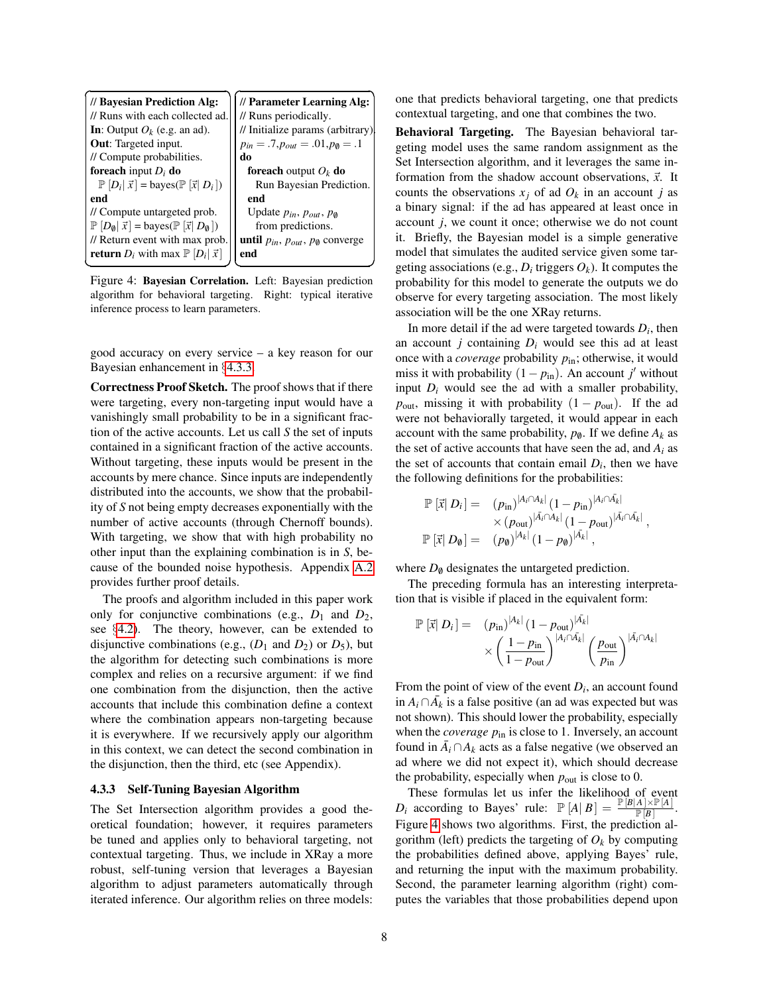

<span id="page-7-1"></span>Figure 4: Bayesian Correlation. Left: Bayesian prediction algorithm for behavioral targeting. Right: typical iterative inference process to learn parameters.

good accuracy on every service – a key reason for our Bayesian enhancement in §[4.3.3.](#page-7-0)

Correctness Proof Sketch. The proof shows that if there were targeting, every non-targeting input would have a vanishingly small probability to be in a significant fraction of the active accounts. Let us call *S* the set of inputs contained in a significant fraction of the active accounts. Without targeting, these inputs would be present in the accounts by mere chance. Since inputs are independently distributed into the accounts, we show that the probability of *S* not being empty decreases exponentially with the number of active accounts (through Chernoff bounds). With targeting, we show that with high probability no other input than the explaining combination is in *S*, because of the bounded noise hypothesis. Appendix [A.2](#page-16-0) provides further proof details.

The proofs and algorithm included in this paper work only for conjunctive combinations (e.g.,  $D_1$  and  $D_2$ , see §[4.2\)](#page-5-0). The theory, however, can be extended to disjunctive combinations (e.g.,  $(D_1 \text{ and } D_2)$ ) or  $D_5$ ), but the algorithm for detecting such combinations is more complex and relies on a recursive argument: if we find one combination from the disjunction, then the active accounts that include this combination define a context where the combination appears non-targeting because it is everywhere. If we recursively apply our algorithm in this context, we can detect the second combination in the disjunction, then the third, etc (see Appendix).

### <span id="page-7-0"></span>4.3.3 Self-Tuning Bayesian Algorithm

The Set Intersection algorithm provides a good theoretical foundation; however, it requires parameters be tuned and applies only to behavioral targeting, not contextual targeting. Thus, we include in XRay a more robust, self-tuning version that leverages a Bayesian algorithm to adjust parameters automatically through iterated inference. Our algorithm relies on three models: one that predicts behavioral targeting, one that predicts contextual targeting, and one that combines the two.

Behavioral Targeting. The Bayesian behavioral targeting model uses the same random assignment as the Set Intersection algorithm, and it leverages the same information from the shadow account observations,  $\vec{x}$ . It counts the observations  $x_j$  of ad  $O_k$  in an account *j* as a binary signal: if the ad has appeared at least once in account *j*, we count it once; otherwise we do not count it. Briefly, the Bayesian model is a simple generative model that simulates the audited service given some targeting associations (e.g.,  $D_i$  triggers  $O_k$ ). It computes the probability for this model to generate the outputs we do observe for every targeting association. The most likely association will be the one XRay returns.

In more detail if the ad were targeted towards  $D_i$ , then an account *j* containing  $D_i$  would see this ad at least once with a *coverage* probability *p*in; otherwise, it would miss it with probability  $(1 - p_{\text{in}})$ . An account *j'* without input  $D_i$  would see the ad with a smaller probability,  $p_{\text{out}}$ , missing it with probability  $(1 - p_{\text{out}})$ . If the ad were not behaviorally targeted, it would appear in each account with the same probability,  $p_{\emptyset}$ . If we define  $A_k$  as the set of active accounts that have seen the ad, and *A<sup>i</sup>* as the set of accounts that contain email  $D_i$ , then we have the following definitions for the probabilities:

$$
\mathbb{P} [\vec{x} | D_i] = (p_{\text{in}})^{|A_i \cap A_k|} (1 - p_{\text{in}})^{|A_i \cap \vec{A}_k|} \times (p_{\text{out}})^{|\vec{A}_i \cap A_k|} (1 - p_{\text{out}})^{|\vec{A}_i \cap \vec{A}_k|}, \n\mathbb{P} [\vec{x} | D_0] = (p_0)^{|A_k|} (1 - p_0)^{|\vec{A}_k|},
$$

where  $D_{\emptyset}$  designates the untargeted prediction.

The preceding formula has an interesting interpretation that is visible if placed in the equivalent form:

$$
\mathbb{P}\left[\vec{x}\right|D_i] = (p_{\text{in}})^{|A_k|} (1 - p_{\text{out}})^{|\bar{A}_k|} \times \left(\frac{1 - p_{\text{in}}}{1 - p_{\text{out}}}\right)^{|A_i \cap \bar{A}_k|} \left(\frac{p_{\text{out}}}{p_{\text{in}}}\right)^{|\bar{A}_i \cap A_k|}
$$

From the point of view of the event  $D_i$ , an account found in  $A_i$  ∩ $\overline{A}_k$  is a false positive (an ad was expected but was not shown). This should lower the probability, especially when the *coverage*  $p_{\text{in}}$  is close to 1. Inversely, an account found in  $\overline{A}_i \cap A_k$  acts as a false negative (we observed an ad where we did not expect it), which should decrease the probability, especially when  $p_{\text{out}}$  is close to 0.

These formulas let us infer the likelihood of event *D<sub>i</sub>* according to Bayes' rule:  $\mathbb{P}[A|B] = \frac{\mathbb{P}[B|A] \times \mathbb{P}[A]}{\mathbb{P}[B]}$ . Figure [4](#page-7-1) shows two algorithms. First, the prediction algorithm (left) predicts the targeting of  $O_k$  by computing the probabilities defined above, applying Bayes' rule, and returning the input with the maximum probability. Second, the parameter learning algorithm (right) computes the variables that those probabilities depend upon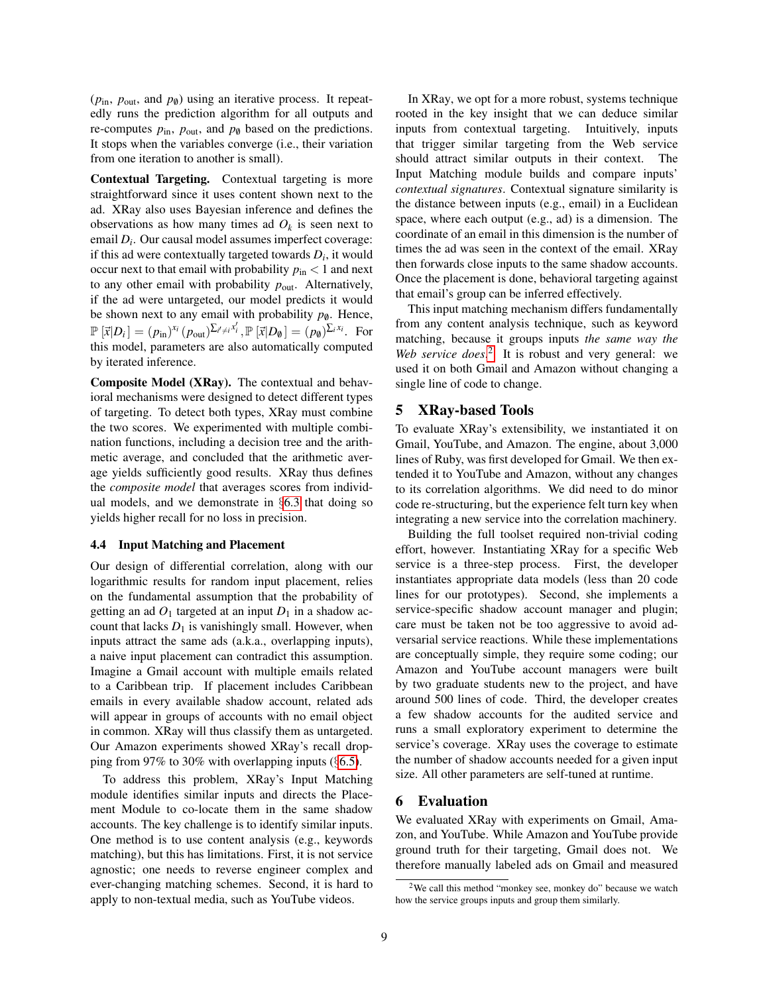$(p_{in}, p_{out}, \text{and } p_{\emptyset})$  using an iterative process. It repeatedly runs the prediction algorithm for all outputs and re-computes  $p_{\text{in}}$ ,  $p_{\text{out}}$ , and  $p_{\emptyset}$  based on the predictions. It stops when the variables converge (i.e., their variation from one iteration to another is small).

Contextual Targeting. Contextual targeting is more straightforward since it uses content shown next to the ad. XRay also uses Bayesian inference and defines the observations as how many times ad  $O_k$  is seen next to email  $D_i$ . Our causal model assumes imperfect coverage: if this ad were contextually targeted towards  $D_i$ , it would occur next to that email with probability  $p_{\text{in}} < 1$  and next to any other email with probability  $p_{\text{out}}$ . Alternatively, if the ad were untargeted, our model predicts it would be shown next to any email with probability  $p_{\emptyset}$ . Hence,  $\mathbb{P}\left[\vec{x}|D_i\right] = (p_{\text{in}})^{x_i} (p_{\text{out}})^{\sum_{i' \neq i} x_i'}$ ,  $\mathbb{P}\left[\vec{x}|D_{\emptyset}\right] = (p_{\emptyset})^{\sum_{i} x_i}$ . For this model, parameters are also automatically computed by iterated inference.

Composite Model (XRay). The contextual and behavioral mechanisms were designed to detect different types of targeting. To detect both types, XRay must combine the two scores. We experimented with multiple combination functions, including a decision tree and the arithmetic average, and concluded that the arithmetic average yields sufficiently good results. XRay thus defines the *composite model* that averages scores from individual models, and we demonstrate in §[6.3](#page-10-0) that doing so yields higher recall for no loss in precision.

#### <span id="page-8-0"></span>4.4 Input Matching and Placement

Our design of differential correlation, along with our logarithmic results for random input placement, relies on the fundamental assumption that the probability of getting an ad  $O_1$  targeted at an input  $D_1$  in a shadow account that lacks  $D_1$  is vanishingly small. However, when inputs attract the same ads (a.k.a., overlapping inputs), a naive input placement can contradict this assumption. Imagine a Gmail account with multiple emails related to a Caribbean trip. If placement includes Caribbean emails in every available shadow account, related ads will appear in groups of accounts with no email object in common. XRay will thus classify them as untargeted. Our Amazon experiments showed XRay's recall dropping from 97% to 30% with overlapping inputs  $(\S6.5)$  $(\S6.5)$ .

To address this problem, XRay's Input Matching module identifies similar inputs and directs the Placement Module to co-locate them in the same shadow accounts. The key challenge is to identify similar inputs. One method is to use content analysis (e.g., keywords matching), but this has limitations. First, it is not service agnostic; one needs to reverse engineer complex and ever-changing matching schemes. Second, it is hard to apply to non-textual media, such as YouTube videos.

In XRay, we opt for a more robust, systems technique rooted in the key insight that we can deduce similar inputs from contextual targeting. Intuitively, inputs that trigger similar targeting from the Web service should attract similar outputs in their context. The Input Matching module builds and compare inputs' *contextual signatures*. Contextual signature similarity is the distance between inputs (e.g., email) in a Euclidean space, where each output (e.g., ad) is a dimension. The coordinate of an email in this dimension is the number of times the ad was seen in the context of the email. XRay then forwards close inputs to the same shadow accounts. Once the placement is done, behavioral targeting against that email's group can be inferred effectively.

This input matching mechanism differs fundamentally from any content analysis technique, such as keyword matching, because it groups inputs *the same way the* Web service does.<sup>[2](#page-8-1)</sup> It is robust and very general: we used it on both Gmail and Amazon without changing a single line of code to change.

### 5 XRay-based Tools

To evaluate XRay's extensibility, we instantiated it on Gmail, YouTube, and Amazon. The engine, about 3,000 lines of Ruby, was first developed for Gmail. We then extended it to YouTube and Amazon, without any changes to its correlation algorithms. We did need to do minor code re-structuring, but the experience felt turn key when integrating a new service into the correlation machinery.

Building the full toolset required non-trivial coding effort, however. Instantiating XRay for a specific Web service is a three-step process. First, the developer instantiates appropriate data models (less than 20 code lines for our prototypes). Second, she implements a service-specific shadow account manager and plugin; care must be taken not be too aggressive to avoid adversarial service reactions. While these implementations are conceptually simple, they require some coding; our Amazon and YouTube account managers were built by two graduate students new to the project, and have around 500 lines of code. Third, the developer creates a few shadow accounts for the audited service and runs a small exploratory experiment to determine the service's coverage. XRay uses the coverage to estimate the number of shadow accounts needed for a given input size. All other parameters are self-tuned at runtime.

### 6 Evaluation

We evaluated XRay with experiments on Gmail, Amazon, and YouTube. While Amazon and YouTube provide ground truth for their targeting, Gmail does not. We therefore manually labeled ads on Gmail and measured

<span id="page-8-1"></span> $2$ We call this method "monkey see, monkey do" because we watch how the service groups inputs and group them similarly.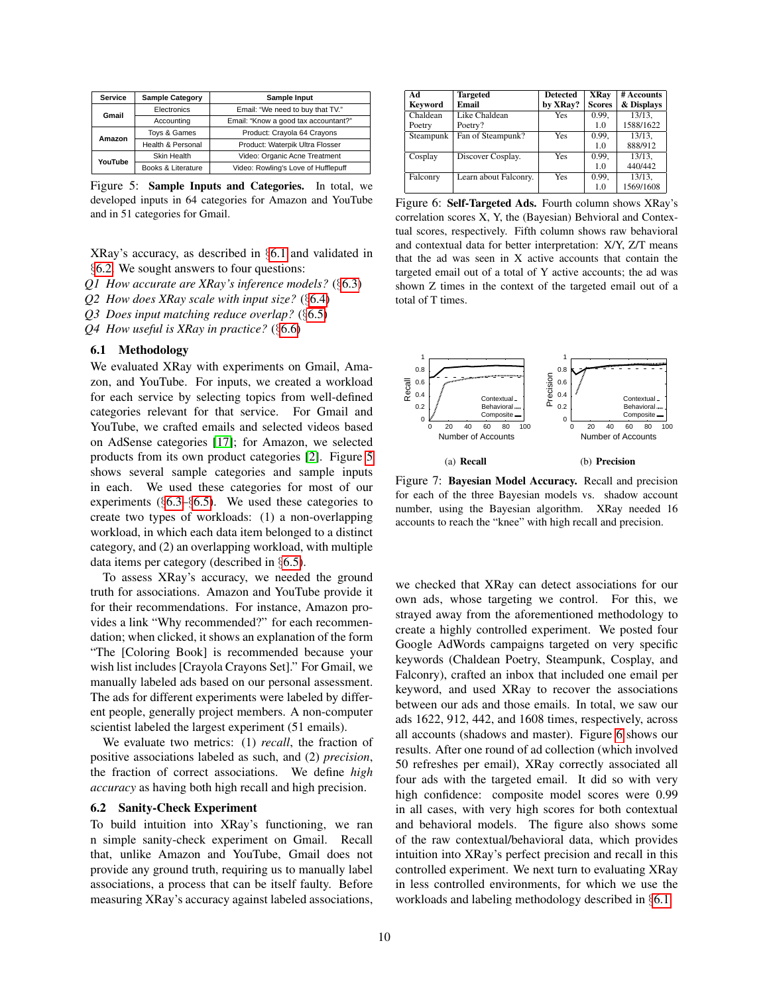| Service | <b>Sample Category</b> | Sample Input                         |  |
|---------|------------------------|--------------------------------------|--|
| Gmail   | Electronics            | Email: "We need to buy that TV."     |  |
|         | Accounting             | Email: "Know a good tax accountant?" |  |
| Amazon  | Toys & Games           | Product: Crayola 64 Crayons          |  |
|         | Health & Personal      | Product: Waterpik Ultra Flosser      |  |
| YouTube | Skin Health            | Video: Organic Acne Treatment        |  |
|         | Books & Literature     | Video: Rowling's Love of Hufflepuff  |  |

<span id="page-9-2"></span>Figure 5: Sample Inputs and Categories. In total, we developed inputs in 64 categories for Amazon and YouTube and in 51 categories for Gmail.

XRay's accuracy, as described in §[6.1](#page-9-0) and validated in §[6.2.](#page-9-1) We sought answers to four questions:

*Q1 How accurate are XRay's inference models?* (§[6.3\)](#page-10-0)

*Q2 How does XRay scale with input size?* (§[6.4\)](#page-10-2)

*Q3 Does input matching reduce overlap?* (§[6.5\)](#page-10-1)

*Q4 How useful is XRay in practice?* (§[6.6\)](#page-11-0)

### <span id="page-9-0"></span>6.1 Methodology

We evaluated XRay with experiments on Gmail, Amazon, and YouTube. For inputs, we created a workload for each service by selecting topics from well-defined categories relevant for that service. For Gmail and YouTube, we crafted emails and selected videos based on AdSense categories [\[17\]](#page-14-15); for Amazon, we selected products from its own product categories [\[2\]](#page-14-16). Figure [5](#page-9-2) shows several sample categories and sample inputs in each. We used these categories for most of our experiments (§[6.3–](#page-10-0)§[6.5\)](#page-10-1). We used these categories to create two types of workloads: (1) a non-overlapping workload, in which each data item belonged to a distinct category, and (2) an overlapping workload, with multiple data items per category (described in §[6.5\)](#page-10-1).

To assess XRay's accuracy, we needed the ground truth for associations. Amazon and YouTube provide it for their recommendations. For instance, Amazon provides a link "Why recommended?" for each recommendation; when clicked, it shows an explanation of the form "The [Coloring Book] is recommended because your wish list includes [Crayola Crayons Set]." For Gmail, we manually labeled ads based on our personal assessment. The ads for different experiments were labeled by different people, generally project members. A non-computer scientist labeled the largest experiment (51 emails).

We evaluate two metrics: (1) *recall*, the fraction of positive associations labeled as such, and (2) *precision*, the fraction of correct associations. We define *high accuracy* as having both high recall and high precision.

### <span id="page-9-1"></span>6.2 Sanity-Check Experiment

To build intuition into XRay's functioning, we ran n simple sanity-check experiment on Gmail. Recall that, unlike Amazon and YouTube, Gmail does not provide any ground truth, requiring us to manually label associations, a process that can be itself faulty. Before measuring XRay's accuracy against labeled associations,

| Ad        | <b>Targeted</b>       | <b>Detected</b> | <b>XRay</b>   | # Accounts |
|-----------|-----------------------|-----------------|---------------|------------|
| Keyword   | Email                 | by XRay?        | <b>Scores</b> | & Displays |
| Chaldean  | Like Chaldean         | Yes             | 0.99,         | 13/13.     |
| Poetry    | Poetry?               |                 | 1.0           | 1588/1622  |
| Steampunk | Fan of Steampunk?     | Yes             | 0.99,         | 13/13.     |
|           |                       |                 | 1.0           | 888/912    |
| Cosplay   | Discover Cosplay.     | Yes             | 0.99,         | 13/13.     |
|           |                       |                 | 1.0           | 440/442    |
| Falconry  | Learn about Falconry. | Yes             | 0.99,         | 13/13.     |
|           |                       |                 | 1.0           | 1569/1608  |

<span id="page-9-3"></span>Figure 6: Self-Targeted Ads. Fourth column shows XRay's correlation scores X, Y, the (Bayesian) Behvioral and Contextual scores, respectively. Fifth column shows raw behavioral and contextual data for better interpretation: X/Y, Z/T means that the ad was seen in X active accounts that contain the targeted email out of a total of Y active accounts; the ad was shown Z times in the context of the targeted email out of a total of T times.

<span id="page-9-4"></span>

<span id="page-9-5"></span>Figure 7: Bayesian Model Accuracy. Recall and precision for each of the three Bayesian models vs. shadow account number, using the Bayesian algorithm. XRay needed 16 accounts to reach the "knee" with high recall and precision.

we checked that XRay can detect associations for our own ads, whose targeting we control. For this, we strayed away from the aforementioned methodology to create a highly controlled experiment. We posted four Google AdWords campaigns targeted on very specific keywords (Chaldean Poetry, Steampunk, Cosplay, and Falconry), crafted an inbox that included one email per keyword, and used XRay to recover the associations between our ads and those emails. In total, we saw our ads 1622, 912, 442, and 1608 times, respectively, across all accounts (shadows and master). Figure [6](#page-9-3) shows our results. After one round of ad collection (which involved 50 refreshes per email), XRay correctly associated all four ads with the targeted email. It did so with very high confidence: composite model scores were 0.99 in all cases, with very high scores for both contextual and behavioral models. The figure also shows some of the raw contextual/behavioral data, which provides intuition into XRay's perfect precision and recall in this controlled experiment. We next turn to evaluating XRay in less controlled environments, for which we use the workloads and labeling methodology described in §[6.1.](#page-9-0)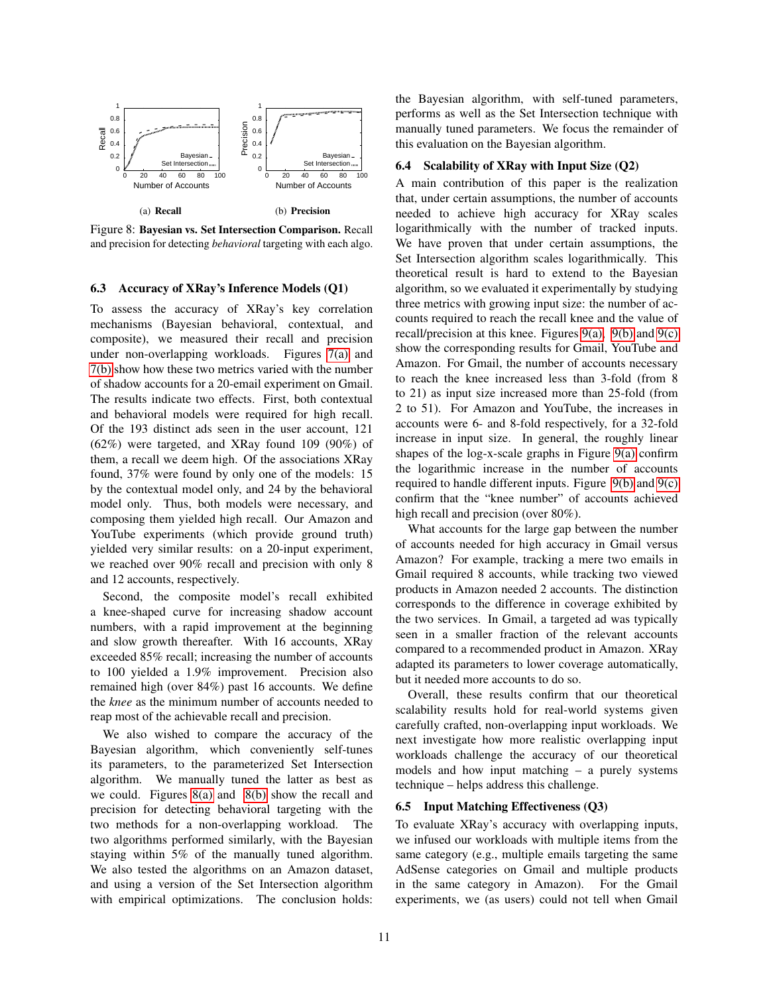<span id="page-10-3"></span>

<span id="page-10-4"></span>Figure 8: Bayesian vs. Set Intersection Comparison. Recall and precision for detecting *behavioral* targeting with each algo.

## <span id="page-10-0"></span>6.3 Accuracy of XRay's Inference Models (Q1)

To assess the accuracy of XRay's key correlation mechanisms (Bayesian behavioral, contextual, and composite), we measured their recall and precision under non-overlapping workloads. Figures [7\(a\)](#page-9-4) and [7\(b\)](#page-9-5) show how these two metrics varied with the number of shadow accounts for a 20-email experiment on Gmail. The results indicate two effects. First, both contextual and behavioral models were required for high recall. Of the 193 distinct ads seen in the user account, 121 (62%) were targeted, and XRay found 109 (90%) of them, a recall we deem high. Of the associations XRay found, 37% were found by only one of the models: 15 by the contextual model only, and 24 by the behavioral model only. Thus, both models were necessary, and composing them yielded high recall. Our Amazon and YouTube experiments (which provide ground truth) yielded very similar results: on a 20-input experiment, we reached over 90% recall and precision with only 8 and 12 accounts, respectively.

Second, the composite model's recall exhibited a knee-shaped curve for increasing shadow account numbers, with a rapid improvement at the beginning and slow growth thereafter. With 16 accounts, XRay exceeded 85% recall; increasing the number of accounts to 100 yielded a 1.9% improvement. Precision also remained high (over 84%) past 16 accounts. We define the *knee* as the minimum number of accounts needed to reap most of the achievable recall and precision.

We also wished to compare the accuracy of the Bayesian algorithm, which conveniently self-tunes its parameters, to the parameterized Set Intersection algorithm. We manually tuned the latter as best as we could. Figures [8\(a\)](#page-10-3) and [8\(b\)](#page-10-4) show the recall and precision for detecting behavioral targeting with the two methods for a non-overlapping workload. The two algorithms performed similarly, with the Bayesian staying within 5% of the manually tuned algorithm. We also tested the algorithms on an Amazon dataset, and using a version of the Set Intersection algorithm with empirical optimizations. The conclusion holds: the Bayesian algorithm, with self-tuned parameters, performs as well as the Set Intersection technique with manually tuned parameters. We focus the remainder of this evaluation on the Bayesian algorithm.

### <span id="page-10-2"></span>6.4 Scalability of XRay with Input Size (Q2)

A main contribution of this paper is the realization that, under certain assumptions, the number of accounts needed to achieve high accuracy for XRay scales logarithmically with the number of tracked inputs. We have proven that under certain assumptions, the Set Intersection algorithm scales logarithmically. This theoretical result is hard to extend to the Bayesian algorithm, so we evaluated it experimentally by studying three metrics with growing input size: the number of accounts required to reach the recall knee and the value of recall/precision at this knee. Figures  $9(a)$ ,  $9(b)$  and  $9(c)$ show the corresponding results for Gmail, YouTube and Amazon. For Gmail, the number of accounts necessary to reach the knee increased less than 3-fold (from 8 to 21) as input size increased more than 25-fold (from 2 to 51). For Amazon and YouTube, the increases in accounts were 6- and 8-fold respectively, for a 32-fold increase in input size. In general, the roughly linear shapes of the  $log-x$ -scale graphs in Figure  $9(a)$  confirm the logarithmic increase in the number of accounts required to handle different inputs. Figure  $9(b)$  and  $9(c)$ confirm that the "knee number" of accounts achieved high recall and precision (over 80%).

What accounts for the large gap between the number of accounts needed for high accuracy in Gmail versus Amazon? For example, tracking a mere two emails in Gmail required 8 accounts, while tracking two viewed products in Amazon needed 2 accounts. The distinction corresponds to the difference in coverage exhibited by the two services. In Gmail, a targeted ad was typically seen in a smaller fraction of the relevant accounts compared to a recommended product in Amazon. XRay adapted its parameters to lower coverage automatically, but it needed more accounts to do so.

Overall, these results confirm that our theoretical scalability results hold for real-world systems given carefully crafted, non-overlapping input workloads. We next investigate how more realistic overlapping input workloads challenge the accuracy of our theoretical models and how input matching – a purely systems technique – helps address this challenge.

### <span id="page-10-1"></span>6.5 Input Matching Effectiveness (Q3)

To evaluate XRay's accuracy with overlapping inputs, we infused our workloads with multiple items from the same category (e.g., multiple emails targeting the same AdSense categories on Gmail and multiple products in the same category in Amazon). For the Gmail experiments, we (as users) could not tell when Gmail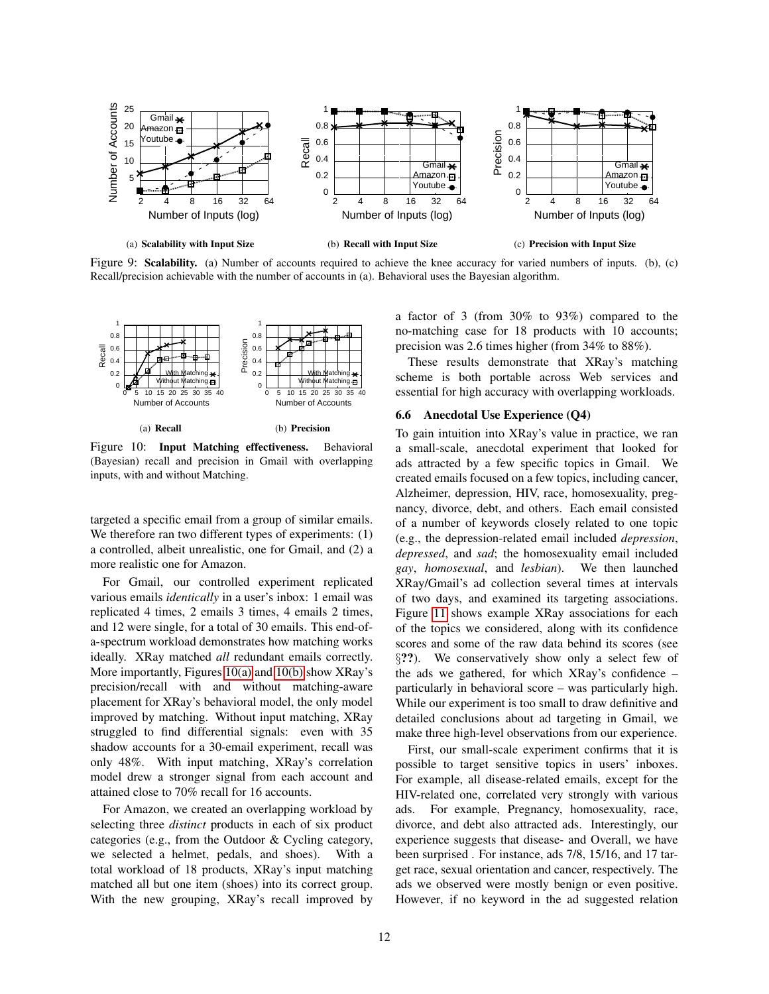<span id="page-11-1"></span>

Figure 9: Scalability. (a) Number of accounts required to achieve the knee accuracy for varied numbers of inputs. (b), (c) Recall/precision achievable with the number of accounts in (a). Behavioral uses the Bayesian algorithm.

<span id="page-11-4"></span>

<span id="page-11-5"></span>Figure 10: Input Matching effectiveness. Behavioral (Bayesian) recall and precision in Gmail with overlapping inputs, with and without Matching.

targeted a specific email from a group of similar emails. We therefore ran two different types of experiments: (1) a controlled, albeit unrealistic, one for Gmail, and (2) a more realistic one for Amazon.

For Gmail, our controlled experiment replicated various emails *identically* in a user's inbox: 1 email was replicated 4 times, 2 emails 3 times, 4 emails 2 times, and 12 were single, for a total of 30 emails. This end-ofa-spectrum workload demonstrates how matching works ideally. XRay matched *all* redundant emails correctly. More importantly, Figures [10\(a\)](#page-11-4) and [10\(b\)](#page-11-5) show XRay's precision/recall with and without matching-aware placement for XRay's behavioral model, the only model improved by matching. Without input matching, XRay struggled to find differential signals: even with 35 shadow accounts for a 30-email experiment, recall was only 48%. With input matching, XRay's correlation model drew a stronger signal from each account and attained close to 70% recall for 16 accounts.

For Amazon, we created an overlapping workload by selecting three *distinct* products in each of six product categories (e.g., from the Outdoor & Cycling category, we selected a helmet, pedals, and shoes). With a total workload of 18 products, XRay's input matching matched all but one item (shoes) into its correct group. With the new grouping, XRay's recall improved by <span id="page-11-3"></span><span id="page-11-2"></span>a factor of 3 (from 30% to 93%) compared to the no-matching case for 18 products with 10 accounts; precision was 2.6 times higher (from 34% to 88%).

These results demonstrate that XRay's matching scheme is both portable across Web services and essential for high accuracy with overlapping workloads.

# <span id="page-11-0"></span>6.6 Anecdotal Use Experience (Q4)

To gain intuition into XRay's value in practice, we ran a small-scale, anecdotal experiment that looked for ads attracted by a few specific topics in Gmail. We created emails focused on a few topics, including cancer, Alzheimer, depression, HIV, race, homosexuality, pregnancy, divorce, debt, and others. Each email consisted of a number of keywords closely related to one topic (e.g., the depression-related email included *depression*, *depressed*, and *sad*; the homosexuality email included *gay*, *homosexual*, and *lesbian*). We then launched XRay/Gmail's ad collection several times at intervals of two days, and examined its targeting associations. Figure [11](#page-12-1) shows example XRay associations for each of the topics we considered, along with its confidence scores and some of the raw data behind its scores (see §??). We conservatively show only a select few of the ads we gathered, for which XRay's confidence – particularly in behavioral score – was particularly high. While our experiment is too small to draw definitive and detailed conclusions about ad targeting in Gmail, we make three high-level observations from our experience.

First, our small-scale experiment confirms that it is possible to target sensitive topics in users' inboxes. For example, all disease-related emails, except for the HIV-related one, correlated very strongly with various ads. For example, Pregnancy, homosexuality, race, divorce, and debt also attracted ads. Interestingly, our experience suggests that disease- and Overall, we have been surprised . For instance, ads 7/8, 15/16, and 17 target race, sexual orientation and cancer, respectively. The ads we observed were mostly benign or even positive. However, if no keyword in the ad suggested relation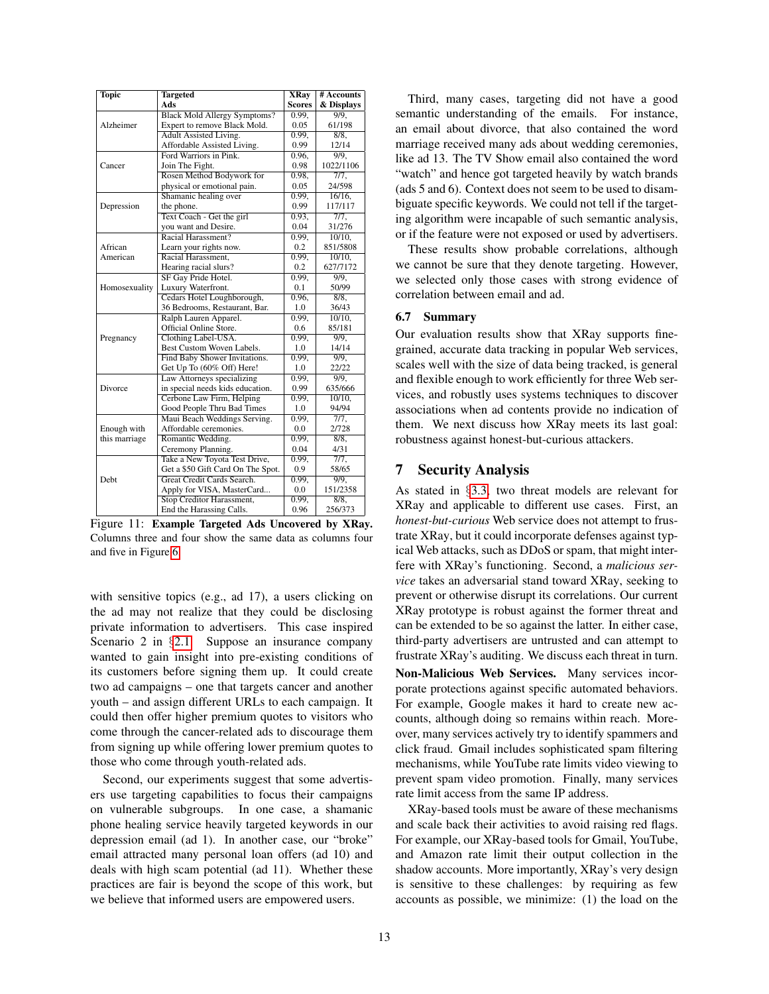| <b>Topic</b>  | <b>Targeted</b>                     | <b>XRay</b>   | # Accounts         |
|---------------|-------------------------------------|---------------|--------------------|
|               | Ads                                 | <b>Scores</b> | & Displays         |
|               | <b>Black Mold Allergy Symptoms?</b> | 0.99.         | $\overline{9/9}$ , |
| Alzheimer     | Expert to remove Black Mold.        | 0.05          | 61/198             |
|               | Adult Assisted Living.              | 0.99,         | 8/8,               |
|               | Affordable Assisted Living.         | 0.99          | 12/14              |
|               | Ford Warriors in Pink.              | 0.96.         | $\overline{9/9}$ . |
| Cancer        | Join The Fight.                     | 0.98          | 1022/1106          |
|               | Rosen Method Bodywork for           | 0.98.         | 7/7.               |
|               | physical or emotional pain.         | 0.05          | 24/598             |
|               | Shamanic healing over               | 0.99.         | 16/16.             |
| Depression    | the phone.                          | 0.99          | 117/117            |
|               | Text Coach - Get the girl           | 0.93,         | 7/7,               |
|               | you want and Desire.                | 0.04          | 31/276             |
|               | Racial Harassment?                  | 0.99,         | $10/10$ ,          |
| African       | Learn your rights now.              | 0.2           | 851/5808           |
| American      | Racial Harassment.                  | 0.99.         | $10/10$ ,          |
|               | Hearing racial slurs?               | 0.2           | 627/7172           |
|               | SF Gay Pride Hotel.                 | 0.99.         | 9/9.               |
| Homosexuality | Luxury Waterfront.                  | 0.1           | 50/99              |
|               | Cedars Hotel Loughborough,          | 0.96,         | 8/8.               |
|               | 36 Bedrooms, Restaurant, Bar.       | 1.0           | 36/43              |
|               | Ralph Lauren Apparel.               | 0.99.         | 10/10.             |
|               | Official Online Store.              | 0.6           | 85/181             |
| Pregnancy     | Clothing Label-USA.                 | 0.99,         | $9/9$ ,            |
|               | Best Custom Woven Labels.           | 1.0           | 14/14              |
|               | Find Baby Shower Invitations.       | 0.99,         | 9/9,               |
|               | Get Up To (60% Off) Here!           | 1.0           | 22/22              |
|               | Law Attorneys specializing          | 0.99.         | 9/9.               |
| Divorce       | in special needs kids education.    | 0.99          | 635/666            |
|               | Cerbone Law Firm, Helping           | 0.99.         | 10/10.             |
|               | Good People Thru Bad Times          | 1.0           | 94/94              |
|               | Maui Beach Weddings Serving.        | 0.99.         | 7/7.               |
| Enough with   | Affordable ceremonies.              | 0.0           | 2/728              |
| this marriage | Romantic Wedding.                   | 0.99,         | 8/8,               |
|               | Ceremony Planning.                  | 0.04          | 4/31               |
|               | Take a New Toyota Test Drive,       | 0.99,         | 7/7.               |
|               | Get a \$50 Gift Card On The Spot.   | 0.9           | 58/65              |
| <b>Debt</b>   | Great Credit Cards Search.          | 0.99.         | 9/9.               |
|               | Apply for VISA, MasterCard          | 0.0           | 151/2358           |
|               | Stop Creditor Harassment,           | 0.99,         | $8/8$ ,            |
|               | End the Harassing Calls.            | 0.96          | 256/373            |

<span id="page-12-1"></span>Figure 11: Example Targeted Ads Uncovered by XRay. Columns three and four show the same data as columns four and five in Figure [6.](#page-9-3)

with sensitive topics (e.g., ad 17), a users clicking on the ad may not realize that they could be disclosing private information to advertisers. This case inspired Scenario 2 in §[2.1.](#page-1-0) Suppose an insurance company wanted to gain insight into pre-existing conditions of its customers before signing them up. It could create two ad campaigns – one that targets cancer and another youth – and assign different URLs to each campaign. It could then offer higher premium quotes to visitors who come through the cancer-related ads to discourage them from signing up while offering lower premium quotes to those who come through youth-related ads.

Second, our experiments suggest that some advertisers use targeting capabilities to focus their campaigns on vulnerable subgroups. In one case, a shamanic phone healing service heavily targeted keywords in our depression email (ad 1). In another case, our "broke" email attracted many personal loan offers (ad 10) and deals with high scam potential (ad 11). Whether these practices are fair is beyond the scope of this work, but we believe that informed users are empowered users.

Third, many cases, targeting did not have a good semantic understanding of the emails. For instance, an email about divorce, that also contained the word marriage received many ads about wedding ceremonies, like ad 13. The TV Show email also contained the word "watch" and hence got targeted heavily by watch brands (ads 5 and 6). Context does not seem to be used to disambiguate specific keywords. We could not tell if the targeting algorithm were incapable of such semantic analysis, or if the feature were not exposed or used by advertisers.

These results show probable correlations, although we cannot be sure that they denote targeting. However, we selected only those cases with strong evidence of correlation between email and ad.

#### 6.7 Summary

Our evaluation results show that XRay supports finegrained, accurate data tracking in popular Web services, scales well with the size of data being tracked, is general and flexible enough to work efficiently for three Web services, and robustly uses systems techniques to discover associations when ad contents provide no indication of them. We next discuss how XRay meets its last goal: robustness against honest-but-curious attackers.

### <span id="page-12-0"></span>7 Security Analysis

As stated in §[3.3,](#page-4-0) two threat models are relevant for XRay and applicable to different use cases. First, an *honest-but-curious* Web service does not attempt to frustrate XRay, but it could incorporate defenses against typical Web attacks, such as DDoS or spam, that might interfere with XRay's functioning. Second, a *malicious service* takes an adversarial stand toward XRay, seeking to prevent or otherwise disrupt its correlations. Our current XRay prototype is robust against the former threat and can be extended to be so against the latter. In either case, third-party advertisers are untrusted and can attempt to frustrate XRay's auditing. We discuss each threat in turn. Non-Malicious Web Services. Many services incorporate protections against specific automated behaviors. For example, Google makes it hard to create new accounts, although doing so remains within reach. Moreover, many services actively try to identify spammers and click fraud. Gmail includes sophisticated spam filtering mechanisms, while YouTube rate limits video viewing to prevent spam video promotion. Finally, many services rate limit access from the same IP address.

XRay-based tools must be aware of these mechanisms and scale back their activities to avoid raising red flags. For example, our XRay-based tools for Gmail, YouTube, and Amazon rate limit their output collection in the shadow accounts. More importantly, XRay's very design is sensitive to these challenges: by requiring as few accounts as possible, we minimize: (1) the load on the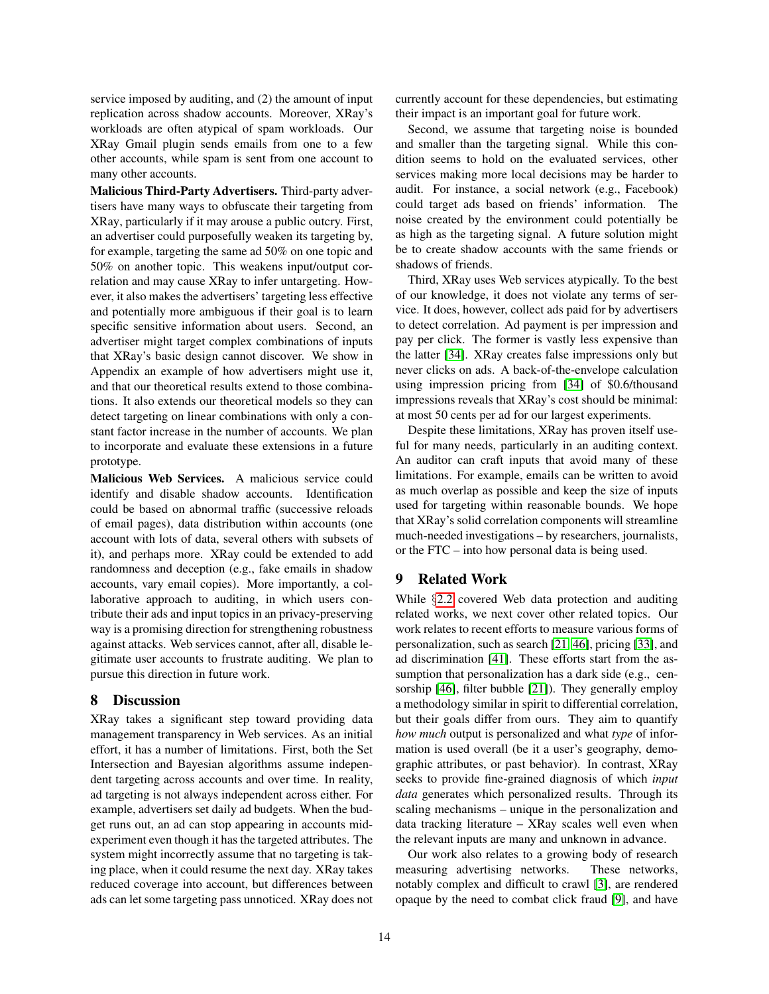service imposed by auditing, and (2) the amount of input replication across shadow accounts. Moreover, XRay's workloads are often atypical of spam workloads. Our XRay Gmail plugin sends emails from one to a few other accounts, while spam is sent from one account to many other accounts.

Malicious Third-Party Advertisers. Third-party advertisers have many ways to obfuscate their targeting from XRay, particularly if it may arouse a public outcry. First, an advertiser could purposefully weaken its targeting by, for example, targeting the same ad 50% on one topic and 50% on another topic. This weakens input/output correlation and may cause XRay to infer untargeting. However, it also makes the advertisers' targeting less effective and potentially more ambiguous if their goal is to learn specific sensitive information about users. Second, an advertiser might target complex combinations of inputs that XRay's basic design cannot discover. We show in Appendix an example of how advertisers might use it, and that our theoretical results extend to those combinations. It also extends our theoretical models so they can detect targeting on linear combinations with only a constant factor increase in the number of accounts. We plan to incorporate and evaluate these extensions in a future prototype.

Malicious Web Services. A malicious service could identify and disable shadow accounts. Identification could be based on abnormal traffic (successive reloads of email pages), data distribution within accounts (one account with lots of data, several others with subsets of it), and perhaps more. XRay could be extended to add randomness and deception (e.g., fake emails in shadow accounts, vary email copies). More importantly, a collaborative approach to auditing, in which users contribute their ads and input topics in an privacy-preserving way is a promising direction for strengthening robustness against attacks. Web services cannot, after all, disable legitimate user accounts to frustrate auditing. We plan to pursue this direction in future work.

## <span id="page-13-1"></span>8 Discussion

XRay takes a significant step toward providing data management transparency in Web services. As an initial effort, it has a number of limitations. First, both the Set Intersection and Bayesian algorithms assume independent targeting across accounts and over time. In reality, ad targeting is not always independent across either. For example, advertisers set daily ad budgets. When the budget runs out, an ad can stop appearing in accounts midexperiment even though it has the targeted attributes. The system might incorrectly assume that no targeting is taking place, when it could resume the next day. XRay takes reduced coverage into account, but differences between ads can let some targeting pass unnoticed. XRay does not currently account for these dependencies, but estimating their impact is an important goal for future work.

Second, we assume that targeting noise is bounded and smaller than the targeting signal. While this condition seems to hold on the evaluated services, other services making more local decisions may be harder to audit. For instance, a social network (e.g., Facebook) could target ads based on friends' information. The noise created by the environment could potentially be as high as the targeting signal. A future solution might be to create shadow accounts with the same friends or shadows of friends.

Third, XRay uses Web services atypically. To the best of our knowledge, it does not violate any terms of service. It does, however, collect ads paid for by advertisers to detect correlation. Ad payment is per impression and pay per click. The former is vastly less expensive than the latter [\[34\]](#page-15-21). XRay creates false impressions only but never clicks on ads. A back-of-the-envelope calculation using impression pricing from [\[34\]](#page-15-21) of \$0.6/thousand impressions reveals that XRay's cost should be minimal: at most 50 cents per ad for our largest experiments.

Despite these limitations, XRay has proven itself useful for many needs, particularly in an auditing context. An auditor can craft inputs that avoid many of these limitations. For example, emails can be written to avoid as much overlap as possible and keep the size of inputs used for targeting within reasonable bounds. We hope that XRay's solid correlation components will streamline much-needed investigations – by researchers, journalists, or the FTC – into how personal data is being used.

## <span id="page-13-0"></span>9 Related Work

While §[2.2](#page-2-0) covered Web data protection and auditing related works, we next cover other related topics. Our work relates to recent efforts to measure various forms of personalization, such as search [\[21,](#page-14-4) [46\]](#page-15-10), pricing [\[33\]](#page-15-11), and ad discrimination [\[41\]](#page-15-22). These efforts start from the assumption that personalization has a dark side (e.g., censorship [\[46\]](#page-15-10), filter bubble [\[21\]](#page-14-4)). They generally employ a methodology similar in spirit to differential correlation, but their goals differ from ours. They aim to quantify *how much* output is personalized and what *type* of information is used overall (be it a user's geography, demographic attributes, or past behavior). In contrast, XRay seeks to provide fine-grained diagnosis of which *input data* generates which personalized results. Through its scaling mechanisms – unique in the personalization and data tracking literature – XRay scales well even when the relevant inputs are many and unknown in advance.

Our work also relates to a growing body of research measuring advertising networks. These networks, notably complex and difficult to crawl [\[3\]](#page-14-17), are rendered opaque by the need to combat click fraud [\[9\]](#page-14-18), and have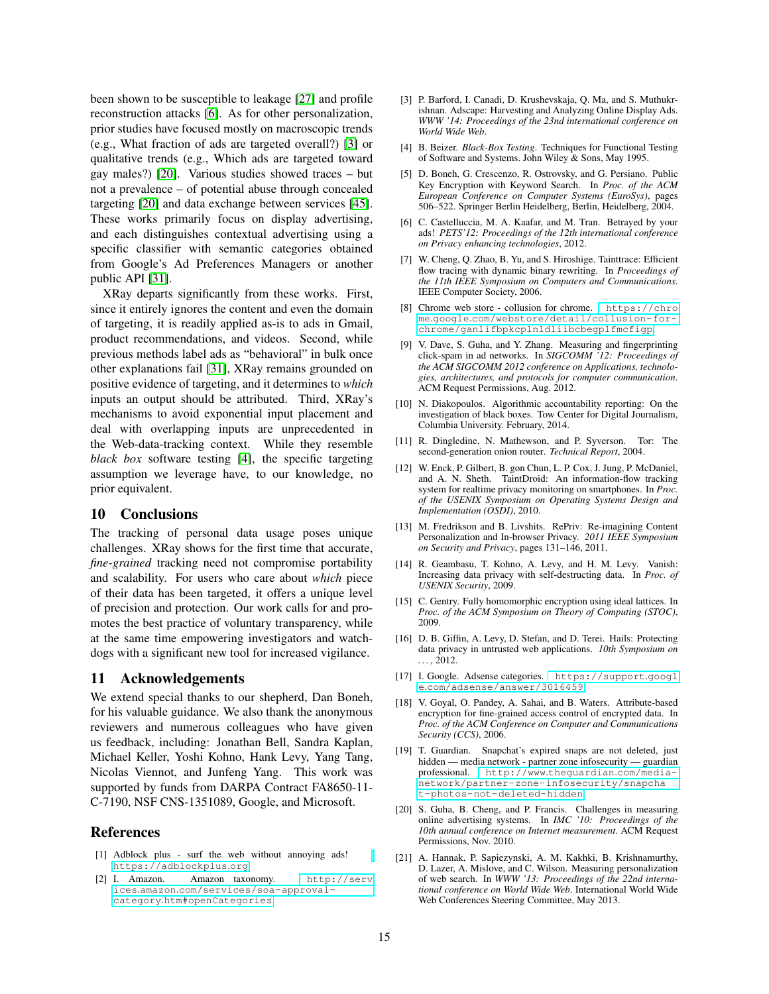been shown to be susceptible to leakage [\[27\]](#page-15-23) and profile reconstruction attacks [\[6\]](#page-14-19). As for other personalization, prior studies have focused mostly on macroscopic trends (e.g., What fraction of ads are targeted overall?) [\[3\]](#page-14-17) or qualitative trends (e.g., Which ads are targeted toward gay males?) [\[20\]](#page-14-5). Various studies showed traces – but not a prevalence – of potential abuse through concealed targeting [\[20\]](#page-14-5) and data exchange between services [\[45\]](#page-15-24). These works primarily focus on display advertising, and each distinguishes contextual advertising using a specific classifier with semantic categories obtained from Google's Ad Preferences Managers or another public API [\[31\]](#page-15-25).

XRay departs significantly from these works. First, since it entirely ignores the content and even the domain of targeting, it is readily applied as-is to ads in Gmail, product recommendations, and videos. Second, while previous methods label ads as "behavioral" in bulk once other explanations fail [\[31\]](#page-15-25), XRay remains grounded on positive evidence of targeting, and it determines to *which* inputs an output should be attributed. Third, XRay's mechanisms to avoid exponential input placement and deal with overlapping inputs are unprecedented in the Web-data-tracking context. While they resemble *black box* software testing [\[4\]](#page-14-20), the specific targeting assumption we leverage have, to our knowledge, no prior equivalent.

### 10 Conclusions

The tracking of personal data usage poses unique challenges. XRay shows for the first time that accurate, *fine-grained* tracking need not compromise portability and scalability. For users who care about *which* piece of their data has been targeted, it offers a unique level of precision and protection. Our work calls for and promotes the best practice of voluntary transparency, while at the same time empowering investigators and watchdogs with a significant new tool for increased vigilance.

### 11 Acknowledgements

We extend special thanks to our shepherd, Dan Boneh, for his valuable guidance. We also thank the anonymous reviewers and numerous colleagues who have given us feedback, including: Jonathan Bell, Sandra Kaplan, Michael Keller, Yoshi Kohno, Hank Levy, Yang Tang, Nicolas Viennot, and Junfeng Yang. This work was supported by funds from DARPA Contract FA8650-11- C-7190, NSF CNS-1351089, Google, and Microsoft.

## **References**

- <span id="page-14-6"></span>[1] Adblock plus - surf the web without annoying ads! [https://adblockplus](https://adblockplus.org).org.
- <span id="page-14-16"></span>[2] I. Amazon. Amazon taxonomy. [http://serv](http://services.amazon.com/services/soa-approval-category.htm#openCategories) ices.amazon.[com/services/soa-approval](http://services.amazon.com/services/soa-approval-category.htm#openCategories)category.[htm#openCategories](http://services.amazon.com/services/soa-approval-category.htm#openCategories).
- <span id="page-14-17"></span>[3] P. Barford, I. Canadi, D. Krushevskaja, Q. Ma, and S. Muthukrishnan. Adscape: Harvesting and Analyzing Online Display Ads. *WWW '14: Proceedings of the 23nd international conference on World Wide Web*.
- <span id="page-14-20"></span>[4] B. Beizer. *Black-Box Testing*. Techniques for Functional Testing of Software and Systems. John Wiley & Sons, May 1995.
- <span id="page-14-10"></span>[5] D. Boneh, G. Crescenzo, R. Ostrovsky, and G. Persiano. Public Key Encryption with Keyword Search. In *Proc. of the ACM European Conference on Computer Systems (EuroSys)*, pages 506–522. Springer Berlin Heidelberg, Berlin, Heidelberg, 2004.
- <span id="page-14-19"></span>[6] C. Castelluccia, M. A. Kaafar, and M. Tran. Betrayed by your ads! *PETS'12: Proceedings of the 12th international conference on Privacy enhancing technologies*, 2012.
- <span id="page-14-2"></span>[7] W. Cheng, O. Zhao, B. Yu, and S. Hiroshige. Tainttrace: Efficient flow tracing with dynamic binary rewriting. In *Proceedings of the 11th IEEE Symposium on Computers and Communications*. IEEE Computer Society, 2006.
- <span id="page-14-14"></span>[8] Chrome web store - collusion for chrome. [https://chro](https://chrome.google.com/webstore/detail/collusion-for-chrome/ganlifbpkcplnldliibcbegplfmcfigp) me.google.[com/webstore/detail/collusion-for](https://chrome.google.com/webstore/detail/collusion-for-chrome/ganlifbpkcplnldliibcbegplfmcfigp)[chrome/ganlifbpkcplnldliibcbegplfmcfigp](https://chrome.google.com/webstore/detail/collusion-for-chrome/ganlifbpkcplnldliibcbegplfmcfigp).
- <span id="page-14-18"></span>[9] V. Dave, S. Guha, and Y. Zhang. Measuring and fingerprinting click-spam in ad networks. In *SIGCOMM '12: Proceedings of the ACM SIGCOMM 2012 conference on Applications, technologies, architectures, and protocols for computer communication*. ACM Request Permissions, Aug. 2012.
- <span id="page-14-3"></span>[10] N. Diakopoulos. Algorithmic accountability reporting: On the investigation of black boxes. Tow Center for Digital Journalism, Columbia University. February, 2014.
- <span id="page-14-8"></span>[11] R. Dingledine, N. Mathewson, and P. Syverson. Tor: The second-generation onion router. *Technical Report*, 2004.
- <span id="page-14-0"></span>[12] W. Enck, P. Gilbert, B. gon Chun, L. P. Cox, J. Jung, P. McDaniel, and A. N. Sheth. TaintDroid: An information-flow tracking system for realtime privacy monitoring on smartphones. In *Proc. of the USENIX Symposium on Operating Systems Design and Implementation (OSDI)*, 2010.
- <span id="page-14-13"></span>[13] M. Fredrikson and B. Livshits. RePriv: Re-imagining Content Personalization and In-browser Privacy. *2011 IEEE Symposium on Security and Privacy*, pages 131–146, 2011.
- <span id="page-14-9"></span>[14] R. Geambasu, T. Kohno, A. Levy, and H. M. Levy. Vanish: Increasing data privacy with self-destructing data. In *Proc. of USENIX Security*, 2009.
- <span id="page-14-11"></span>[15] C. Gentry. Fully homomorphic encryption using ideal lattices. In *Proc. of the ACM Symposium on Theory of Computing (STOC)*, 2009.
- <span id="page-14-1"></span>[16] D. B. Giffin, A. Levy, D. Stefan, and D. Terei. Hails: Protecting data privacy in untrusted web applications. *10th Symposium on . . .* , 2012.
- <span id="page-14-15"></span>[17] I. Google. Adsense categories. [https://support](https://support.google.com/adsense/answer/3016459).googl e.[com/adsense/answer/3016459](https://support.google.com/adsense/answer/3016459).
- <span id="page-14-12"></span>[18] V. Goyal, O. Pandey, A. Sahai, and B. Waters. Attribute-based encryption for fine-grained access control of encrypted data. In *Proc. of the ACM Conference on Computer and Communications Security (CCS)*, 2006.
- <span id="page-14-7"></span>[19] T. Guardian. Snapchat's expired snaps are not deleted, just hidden — media network - partner zone infosecurity — guardian professional. http://www.[theguardian](http://www.theguardian.com/media-network/partner-zone-infosecurity/snapchat-photos-not-deleted-hidden).com/media[network/partner-zone-infosecurity/snapcha](http://www.theguardian.com/media-network/partner-zone-infosecurity/snapchat-photos-not-deleted-hidden) [t-photos-not-deleted-hidden](http://www.theguardian.com/media-network/partner-zone-infosecurity/snapchat-photos-not-deleted-hidden).
- <span id="page-14-5"></span>[20] S. Guha, B. Cheng, and P. Francis. Challenges in measuring online advertising systems. In *IMC '10: Proceedings of the 10th annual conference on Internet measurement*. ACM Request Permissions, Nov. 2010.
- <span id="page-14-4"></span>[21] A. Hannak, P. Sapiezynski, A. M. Kakhki, B. Krishnamurthy, D. Lazer, A. Mislove, and C. Wilson. Measuring personalization of web search. In *WWW '13: Proceedings of the 22nd international conference on World Wide Web*. International World Wide Web Conferences Steering Committee, May 2013.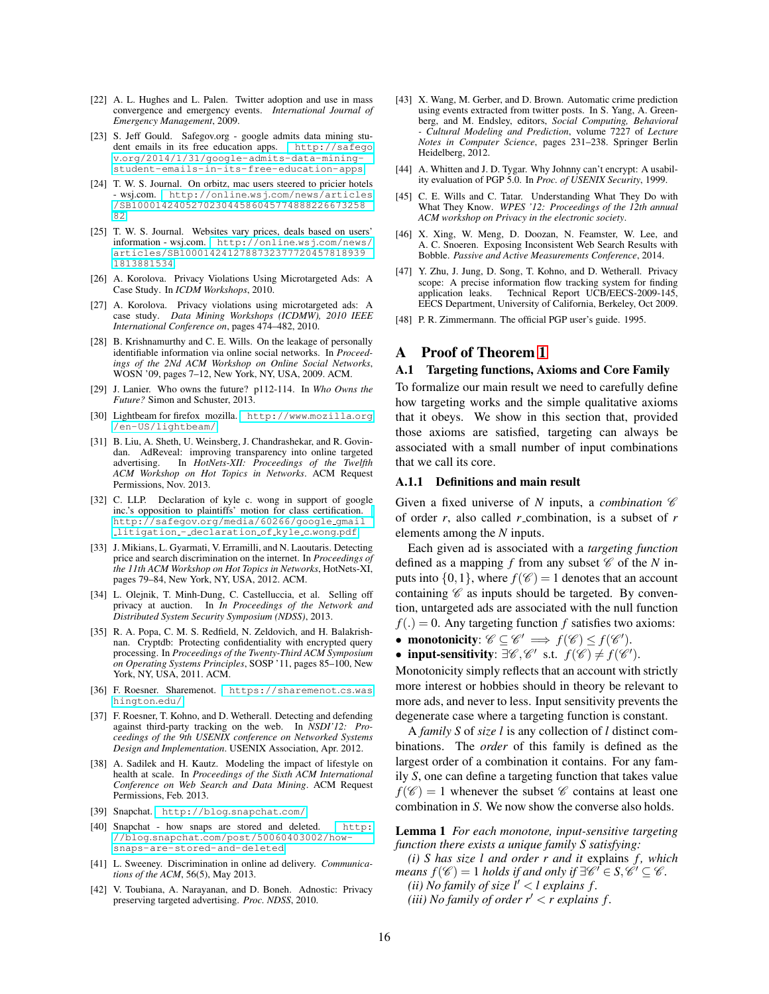- <span id="page-15-2"></span>[22] A. L. Hughes and L. Palen. Twitter adoption and use in mass convergence and emergency events. *International Journal of Emergency Management*, 2009.
- <span id="page-15-3"></span>[23] S. Jeff Gould. Safegov.org - google admits data mining student emails in its free education apps. [http://safego](http://safegov.org/2014/1/31/google-admits-data-mining-student-emails-in-its-free-education-apps) v.[org/2014/1/31/google-admits-data-mining](http://safegov.org/2014/1/31/google-admits-data-mining-student-emails-in-its-free-education-apps)[student-emails-in-its-free-education-apps](http://safegov.org/2014/1/31/google-admits-data-mining-student-emails-in-its-free-education-apps).
- <span id="page-15-6"></span>[24] T. W. S. Journal. On orbitz, mac users steered to pricier hotels - wsj.com. http://online.wsj.[com/news/articles](http://online.wsj.com/news/articles/SB10001424052702304458604577488822667325882) [/SB100014240527023044586045774888226673258](http://online.wsj.com/news/articles/SB10001424052702304458604577488822667325882) [82](http://online.wsj.com/news/articles/SB10001424052702304458604577488822667325882).
- <span id="page-15-7"></span>[25] T. W. S. Journal. Websites vary prices, deals based on users' information - wsj.com. [http://online](http://online.wsj.com/news/articles/SB10001424127887323777204578189391813881534).wsj.com/news/ [articles/SB1000142412788732377720457818939](http://online.wsj.com/news/articles/SB10001424127887323777204578189391813881534) [1813881534](http://online.wsj.com/news/articles/SB10001424127887323777204578189391813881534).
- <span id="page-15-8"></span>[26] A. Korolova. Privacy Violations Using Microtargeted Ads: A Case Study. In *ICDM Workshops*, 2010.
- <span id="page-15-23"></span>[27] A. Korolova. Privacy violations using microtargeted ads: A case study. *Data Mining Workshops (ICDMW), 2010 IEEE International Conference on*, pages 474–482, 2010.
- <span id="page-15-5"></span>[28] B. Krishnamurthy and C. E. Wills. On the leakage of personally identifiable information via online social networks. In *Proceedings of the 2Nd ACM Workshop on Online Social Networks*, WOSN '09, pages 7–12, New York, NY, USA, 2009. ACM.
- [29] J. Lanier. Who owns the future? p112-114. In *Who Owns the Future?* Simon and Schuster, 2013.
- <span id="page-15-20"></span>[30] Lightbeam for firefox mozilla. [http://www](http://www.mozilla.org/en-US/lightbeam/).mozilla.org [/en-US/lightbeam/](http://www.mozilla.org/en-US/lightbeam/).
- <span id="page-15-25"></span>[31] B. Liu, A. Sheth, U. Weinsberg, J. Chandrashekar, and R. Govindan. AdReveal: improving transparency into online targeted advertising. In *HotNets-XII: Proceedings of the Twelfth ACM Workshop on Hot Topics in Networks*. ACM Request Permissions, Nov. 2013.
- <span id="page-15-4"></span>[32] C. LLP. Declaration of kyle c. wong in support of google inc.'s opposition to plaintiffs' motion for class certification. http://safegov.[org/media/60266/google](http://safegov.org/media/60266/google_gmail_litigation_-_declaration_of_kyle_c.wong.pdf) gmail litigation - [declaration](http://safegov.org/media/60266/google_gmail_litigation_-_declaration_of_kyle_c.wong.pdf) of kyle c.wong.pdf.
- <span id="page-15-11"></span>[33] J. Mikians, L. Gyarmati, V. Erramilli, and N. Laoutaris. Detecting price and search discrimination on the internet. In *Proceedings of the 11th ACM Workshop on Hot Topics in Networks*, HotNets-XI, pages 79–84, New York, NY, USA, 2012. ACM.
- <span id="page-15-21"></span>[34] L. Olejnik, T. Minh-Dung, C. Castelluccia, et al. Selling off privacy at auction. In *In Proceedings of the Network and Distributed System Security Symposium (NDSS)*, 2013.
- <span id="page-15-16"></span>[35] R. A. Popa, C. M. S. Redfield, N. Zeldovich, and H. Balakrishnan. Cryptdb: Protecting confidentiality with encrypted query processing. In *Proceedings of the Twenty-Third ACM Symposium on Operating Systems Principles*, SOSP '11, pages 85–100, New York, NY, USA, 2011. ACM.
- <span id="page-15-19"></span>[36] F. Roesner. Sharemenot. [https://sharemenot](https://sharemenot.cs.washington.edu/).cs.was [hington](https://sharemenot.cs.washington.edu/).edu/.
- <span id="page-15-14"></span>[37] F. Roesner, T. Kohno, and D. Wetherall. Detecting and defending against third-party tracking on the web. In *NSDI'12: Proceedings of the 9th USENIX conference on Networked Systems Design and Implementation*. USENIX Association, Apr. 2012.
- <span id="page-15-0"></span>[38] A. Sadilek and H. Kautz. Modeling the impact of lifestyle on health at scale. In *Proceedings of the Sixth ACM International Conference on Web Search and Data Mining*. ACM Request Permissions, Feb. 2013.
- <span id="page-15-13"></span>[39] Snapchat. [http://blog](http://blog.snapchat.com/).snapchat.com/.
- <span id="page-15-12"></span>[40] Snapchat - how snaps are stored and deleted. [http:](http://blog.snapchat.com/post/50060403002/how-snaps-are-stored-and-deleted) //blog.snapchat.[com/post/50060403002/how](http://blog.snapchat.com/post/50060403002/how-snaps-are-stored-and-deleted)[snaps-are-stored-and-deleted](http://blog.snapchat.com/post/50060403002/how-snaps-are-stored-and-deleted).
- <span id="page-15-22"></span>[41] L. Sweeney. Discrimination in online ad delivery. *Communications of the ACM*, 56(5), May 2013.
- <span id="page-15-17"></span>[42] V. Toubiana, A. Narayanan, and D. Boneh. Adnostic: Privacy preserving targeted advertising. *Proc. NDSS*, 2010.
- <span id="page-15-1"></span>[43] X. Wang, M. Gerber, and D. Brown. Automatic crime prediction using events extracted from twitter posts. In S. Yang, A. Greenberg, and M. Endsley, editors, *Social Computing, Behavioral - Cultural Modeling and Prediction*, volume 7227 of *Lecture Notes in Computer Science*, pages 231–238. Springer Berlin Heidelberg, 2012.
- <span id="page-15-18"></span>[44] A. Whitten and J. D. Tygar. Why Johnny can't encrypt: A usability evaluation of PGP 5.0. In *Proc. of USENIX Security*, 1999.
- <span id="page-15-24"></span>[45] C. E. Wills and C. Tatar. Understanding What They Do with What They Know. *WPES '12: Proceedings of the 12th annual ACM workshop on Privacy in the electronic society*.
- <span id="page-15-10"></span>[46] X. Xing, W. Meng, D. Doozan, N. Feamster, W. Lee, and A. C. Snoeren. Exposing Inconsistent Web Search Results with Bobble. *Passive and Active Measurements Conference*, 2014.
- <span id="page-15-9"></span>[47] Y. Zhu, J. Jung, D. Song, T. Kohno, and D. Wetherall. Privacy scope: A precise information flow tracking system for finding application leaks. Technical Report UCB/EECS-2009-145, EECS Department, University of California, Berkeley, Oct 2009.
- <span id="page-15-15"></span>[48] P. R. Zimmermann. The official PGP user's guide. 1995.

## A Proof of Theorem [1](#page-6-2)

#### A.1 Targeting functions, Axioms and Core Family

To formalize our main result we need to carefully define how targeting works and the simple qualitative axioms that it obeys. We show in this section that, provided those axioms are satisfied, targeting can always be associated with a small number of input combinations that we call its core.

#### A.1.1 Definitions and main result

Given a fixed universe of  $N$  inputs, a *combination*  $\mathscr C$ of order *r*, also called *r* combination, is a subset of *r* elements among the *N* inputs.

Each given ad is associated with a *targeting function* defined as a mapping f from any subset  $\mathscr C$  of the N inputs into  $\{0,1\}$ , where  $f(\mathscr{C}) = 1$  denotes that an account containing  $\mathscr C$  as inputs should be targeted. By convention, untargeted ads are associated with the null function  $f(.) = 0$ . Any targeting function *f* satisfies two axioms:

- monotonicity:  $\mathscr{C} \subseteq \mathscr{C}' \implies f(\mathscr{C}) \leq f(\mathscr{C}')$ .
- input-sensitivity:  $\exists \mathscr{C}, \mathscr{C}'$  s.t.  $f(\mathscr{C}) \neq f(\mathscr{C}')$ .

Monotonicity simply reflects that an account with strictly more interest or hobbies should in theory be relevant to more ads, and never to less. Input sensitivity prevents the degenerate case where a targeting function is constant.

A *family S* of *size l* is any collection of *l* distinct combinations. The *order* of this family is defined as the largest order of a combination it contains. For any family *S*, one can define a targeting function that takes value  $f(\mathscr{C}) = 1$  whenever the subset  $\mathscr{C}$  contains at least one combination in *S*. We now show the converse also holds.

### <span id="page-15-26"></span>Lemma 1 *For each monotone, input-sensitive targeting function there exists a unique family S satisfying:*

*(i)* S has size l and order r and it explains f, which *means*  $f(\mathscr{C}) = 1$  *holds if and only if*  $\exists \mathscr{C}' \in S, \mathscr{C}' \subseteq \mathscr{C}$ *.* 

*(ii) No family of size*  $l' < l$  *explains f.* 

*(iii) No family of order*  $r' < r$  *explains f.*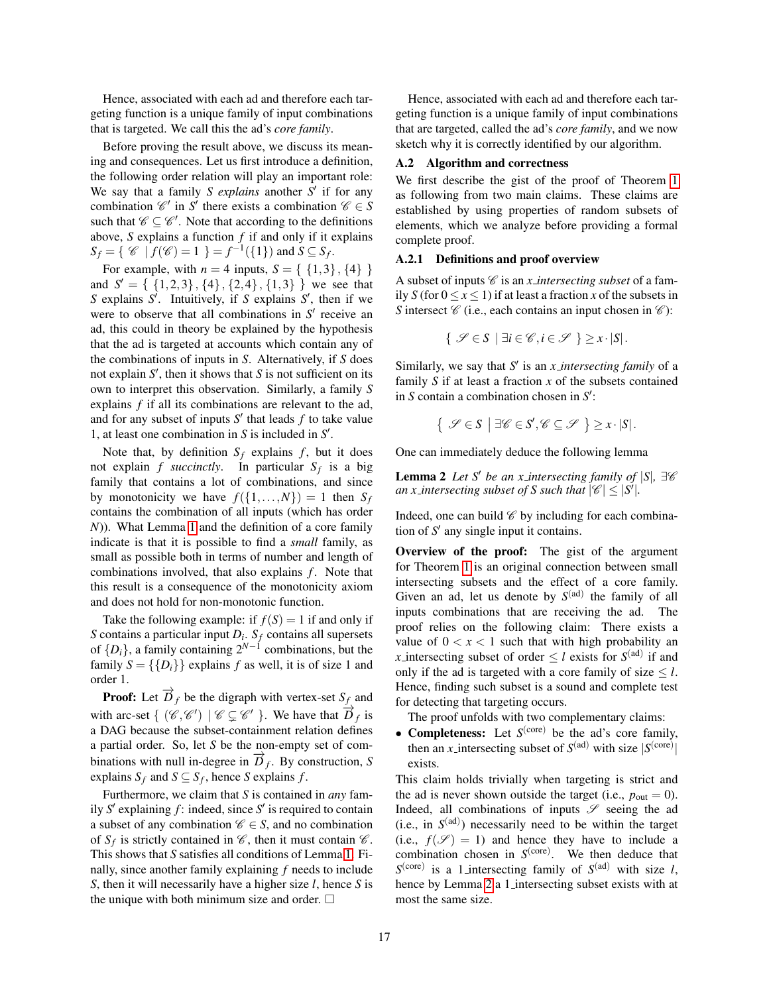Hence, associated with each ad and therefore each targeting function is a unique family of input combinations that is targeted. We call this the ad's *core family*.

Before proving the result above, we discuss its meaning and consequences. Let us first introduce a definition, the following order relation will play an important role: We say that a family *S explains* another *S'* if for any combination  $\mathcal{C}'$  in *S'* there exists a combination  $\mathcal{C} \in S$ such that  $\mathscr{C} \subseteq \mathscr{C}'$ . Note that according to the definitions above, *S* explains a function *f* if and only if it explains  $S_f = \{ \mathcal{C} \mid f(\mathcal{C}) = 1 \} = f^{-1}(\{1\}) \text{ and } S \subseteq S_f.$ 

For example, with  $n = 4$  inputs,  $S = \{ \{1,3\}, \{4\} \}$ and  $S' = \{ \{1,2,3\}, \{4\}, \{2,4\}, \{1,3\} \}$  we see that *S* explains *S'*. Intuitively, if *S* explains *S'*, then if we were to observe that all combinations in  $S'$  receive an ad, this could in theory be explained by the hypothesis that the ad is targeted at accounts which contain any of the combinations of inputs in *S*. Alternatively, if *S* does not explain  $S'$ , then it shows that  $S$  is not sufficient on its own to interpret this observation. Similarly, a family *S* explains *f* if all its combinations are relevant to the ad, and for any subset of inputs  $S'$  that leads  $f$  to take value 1, at least one combination in  $S$  is included in  $S'$ .

Note that, by definition  $S_f$  explains  $f$ , but it does not explain *f* succinctly. In particular  $S_f$  is a big family that contains a lot of combinations, and since by monotonicity we have  $f({1,...,N}) = 1$  then  $S_f$ contains the combination of all inputs (which has order *N*)). What Lemma [1](#page-15-26) and the definition of a core family indicate is that it is possible to find a *small* family, as small as possible both in terms of number and length of combinations involved, that also explains *f*. Note that this result is a consequence of the monotonicity axiom and does not hold for non-monotonic function.

Take the following example: if  $f(S) = 1$  if and only if *S* contains a particular input *D<sup>i</sup>* . *S<sup>f</sup>* contains all supersets of  $\{D_i\}$ , a family containing  $2^{N-1}$  combinations, but the family  $S = \{\{D_i\}\}\$ explains *f* as well, it is of size 1 and order 1.

**Proof:** Let  $\overrightarrow{D}_f$  be the digraph with vertex-set  $S_f$  and with arc-set  $\{ (\mathcal{C}, \mathcal{C}') | \mathcal{C} \subsetneq \mathcal{C}' \}$ . We have that  $\overrightarrow{D}_f$  is a DAG because the subset-containment relation defines a partial order. So, let *S* be the non-empty set of combinations with null in-degree in  $\overrightarrow{D}_f$ . By construction, *S* explains  $S_f$  and  $S \subseteq S_f$ , hence *S* explains *f*.

Furthermore, we claim that *S* is contained in *any* family  $S'$  explaining  $f$ : indeed, since  $S'$  is required to contain a subset of any combination  $\mathscr{C} \in S$ , and no combination of  $S_f$  is strictly contained in  $\mathscr{C}$ , then it must contain  $\mathscr{C}$ . This shows that *S* satisfies all conditions of Lemma [1.](#page-15-26) Finally, since another family explaining *f* needs to include *S*, then it will necessarily have a higher size *l*, hence *S* is the unique with both minimum size and order.  $\square$ 

Hence, associated with each ad and therefore each targeting function is a unique family of input combinations that are targeted, called the ad's *core family*, and we now sketch why it is correctly identified by our algorithm.

### <span id="page-16-0"></span>A.2 Algorithm and correctness

We first describe the gist of the proof of Theorem [1](#page-6-2) as following from two main claims. These claims are established by using properties of random subsets of elements, which we analyze before providing a formal complete proof.

#### A.2.1 Definitions and proof overview

A subset of inputs  $\mathscr C$  is an *x intersecting subset* of a family *S* (for  $0 \le x \le 1$ ) if at least a fraction *x* of the subsets in *S* intersect  $\mathcal C$  (i.e., each contains an input chosen in  $\mathcal C$ ):

$$
\{ \mathscr{S} \in S \mid \exists i \in \mathscr{C}, i \in \mathscr{S} \} \geq x \cdot |S|.
$$

Similarly, we say that S' is an *x intersecting family* of a family *S* if at least a fraction *x* of the subsets contained in  $S$  contain a combination chosen in  $S'$ :

<span id="page-16-1"></span>
$$
\{ \mathscr{S} \in S \mid \exists \mathscr{C} \in S', \mathscr{C} \subseteq \mathscr{S} \} \geq x \cdot |S|.
$$

One can immediately deduce the following lemma

**Lemma 2** *Let* S' *be an x intersecting family of*  $|S|$ ,  $\exists \mathcal{C}$ *an x\_intersecting subset of S such that*  $|\mathscr{C}| \leq |S'|$ .

Indeed, one can build  $\mathscr C$  by including for each combination of  $S'$  any single input it contains.

Overview of the proof: The gist of the argument for Theorem [1](#page-6-2) is an original connection between small intersecting subsets and the effect of a core family. Given an ad, let us denote by  $S^{(ad)}$  the family of all inputs combinations that are receiving the ad. The proof relies on the following claim: There exists a value of  $0 < x < 1$  such that with high probability an *x* intersecting subset of order  $\leq l$  exists for  $S^{(ad)}$  if and only if the ad is targeted with a core family of size  $\leq l$ . Hence, finding such subset is a sound and complete test for detecting that targeting occurs.

The proof unfolds with two complementary claims:

• **Completeness:** Let  $S^{(core)}$  be the ad's core family, then an *x*<sub>-</sub>intersecting subset of  $S<sup>(ad)</sup>$  with size  $|S<sup>(core)</sup>|$ exists.

This claim holds trivially when targeting is strict and the ad is never shown outside the target (i.e.,  $p_{\text{out}} = 0$ ). Indeed, all combinations of inputs  $\mathscr S$  seeing the ad  $(i.e., in S<sup>(ad)</sup>)$  necessarily need to be within the target (i.e.,  $f(\mathscr{S}) = 1$ ) and hence they have to include a combination chosen in  $S<sup>(core)</sup>$ . We then deduce that  $S^{(\text{core})}$  is a 1 intersecting family of  $S^{(\text{ad})}$  with size *l*, hence by Lemma [2](#page-16-1) a 1 intersecting subset exists with at most the same size.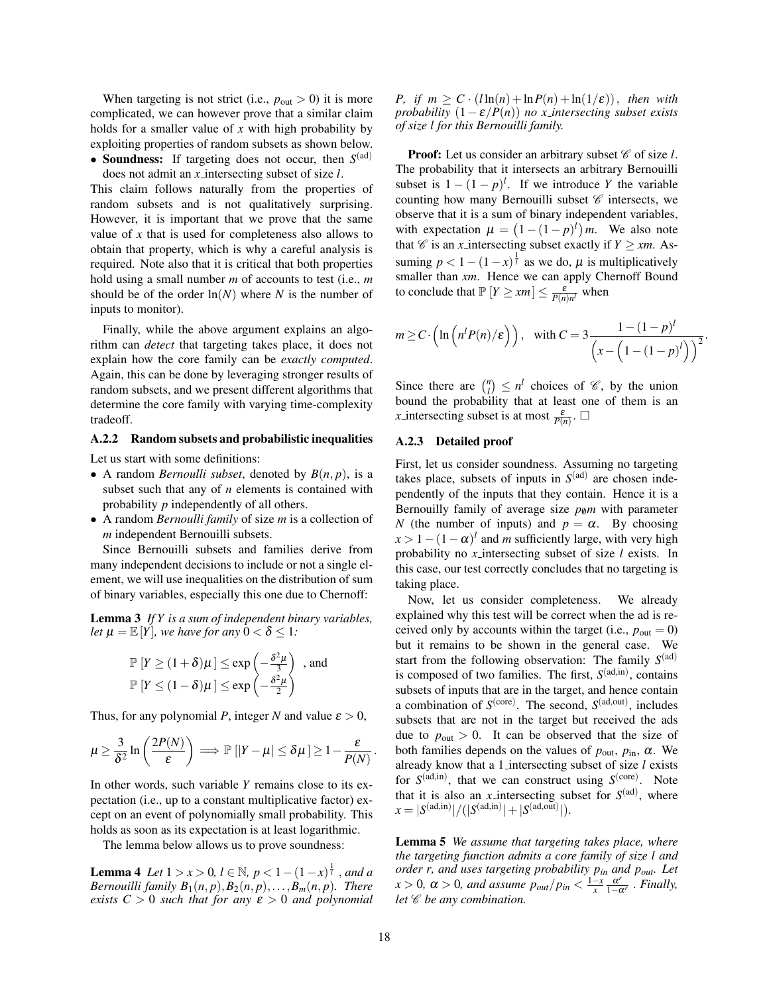When targeting is not strict (i.e.,  $p_{\text{out}} > 0$ ) it is more complicated, we can however prove that a similar claim holds for a smaller value of *x* with high probability by exploiting properties of random subsets as shown below. • Soundness: If targeting does not occur, then  $S<sup>(ad)</sup>$ 

does not admit an *x* intersecting subset of size *l*.

This claim follows naturally from the properties of random subsets and is not qualitatively surprising. However, it is important that we prove that the same value of *x* that is used for completeness also allows to obtain that property, which is why a careful analysis is required. Note also that it is critical that both properties hold using a small number *m* of accounts to test (i.e., *m* should be of the order  $ln(N)$  where *N* is the number of inputs to monitor).

Finally, while the above argument explains an algorithm can *detect* that targeting takes place, it does not explain how the core family can be *exactly computed*. Again, this can be done by leveraging stronger results of random subsets, and we present different algorithms that determine the core family with varying time-complexity tradeoff.

### A.2.2 Random subsets and probabilistic inequalities

Let us start with some definitions:

- A random *Bernoulli subset*, denoted by  $B(n, p)$ , is a subset such that any of *n* elements is contained with probability *p* independently of all others.
- A random *Bernoulli family* of size *m* is a collection of *m* independent Bernouilli subsets.

Since Bernouilli subsets and families derive from many independent decisions to include or not a single element, we will use inequalities on the distribution of sum of binary variables, especially this one due to Chernoff:

Lemma 3 *If Y is a sum of independent binary variables, let*  $\mu = \mathbb{E}[Y]$ *, we have for any*  $0 < \delta \leq 1$ *:* 

$$
\mathbb{P}\left[Y \ge (1+\delta)\mu\right] \le \exp\left(-\frac{\delta^2 \mu}{3}\right) \text{ , and}
$$
  

$$
\mathbb{P}\left[Y \le (1-\delta)\mu\right] \le \exp\left(-\frac{\delta^2 \mu}{2}\right)
$$

Thus, for any polynomial *P*, integer *N* and value  $\varepsilon > 0$ ,

$$
\mu \geq \frac{3}{\delta^2} \ln \left( \frac{2P(N)}{\varepsilon} \right) \Longrightarrow \mathbb{P} \left[ |Y - \mu| \leq \delta \mu \right] \geq 1 - \frac{\varepsilon}{P(N)}.
$$

In other words, such variable *Y* remains close to its expectation (i.e., up to a constant multiplicative factor) except on an event of polynomially small probability. This holds as soon as its expectation is at least logarithmic.

The lemma below allows us to prove soundness:

**Lemma 4** *Let*  $1 > x > 0$ ,  $l \in \mathbb{N}$ ,  $p < 1 - (1 - x)^{\frac{1}{l}}$ , and a *Bernouilli family*  $B_1(n, p), B_2(n, p), \ldots, B_m(n, p)$ *. There exists*  $C > 0$  *such that for any*  $\varepsilon > 0$  *and polynomial*  *P,* if  $m > C \cdot (l \ln(n) + \ln P(n) + \ln(1/\varepsilon))$ , then with *probability*  $(1 - \varepsilon / P(n))$  *no x\_intersecting subset exists of size l for this Bernouilli family.*

**Proof:** Let us consider an arbitrary subset  $\mathscr{C}$  of size *l*. The probability that it intersects an arbitrary Bernouilli subset is  $1 - (1 - p)^l$ . If we introduce *Y* the variable counting how many Bernouilli subset  $\mathscr C$  intersects, we observe that it is a sum of binary independent variables, with expectation  $\mu = (1 - (1 - p)^l) m$ . We also note that  $\mathscr C$  is an *x* intersecting subset exactly if  $Y \geq x_m$ . Assuming  $p < 1 - (1 - x)^{\frac{1}{l}}$  as we do,  $\mu$  is multiplicatively smaller than *xm*. Hence we can apply Chernoff Bound to conclude that  $\mathbb{P}\left[Y \geq xm\right] \leq \frac{\varepsilon}{P(n)n^{l}}$  when

$$
m \ge C \cdot \left( \ln \left( n^l P(n)/\varepsilon \right) \right), \quad \text{with } C = 3 \frac{1 - (1 - p)^l}{\left( x - \left( 1 - (1 - p)^l \right) \right)^2}.
$$

Since there are  $\binom{n}{l} \leq n^l$  choices of  $\mathcal{C}$ , by the union bound the probability that at least one of them is an *x* intersecting subset is at most  $\frac{\varepsilon}{P(n)}$ .

### A.2.3 Detailed proof

First, let us consider soundness. Assuming no targeting takes place, subsets of inputs in  $S<sup>(ad)</sup>$  are chosen independently of the inputs that they contain. Hence it is a Bernouilly family of average size  $p_{\theta}m$  with parameter *N* (the number of inputs) and  $p = \alpha$ . By choosing  $x > 1 - (1 - \alpha)^l$  and *m* sufficiently large, with very high probability no *x* intersecting subset of size *l* exists. In this case, our test correctly concludes that no targeting is taking place.

Now, let us consider completeness. We already explained why this test will be correct when the ad is received only by accounts within the target (i.e.,  $p_{\text{out}} = 0$ ) but it remains to be shown in the general case. We start from the following observation: The family  $S<sup>(ad)</sup>$ is composed of two families. The first,  $S<sup>(ad,in)</sup>$ , contains subsets of inputs that are in the target, and hence contain a combination of  $S^{(\text{core})}$ . The second,  $S^{(\text{ad,out})}$ , includes subsets that are not in the target but received the ads due to  $p_{\text{out}} > 0$ . It can be observed that the size of both families depends on the values of  $p_{\text{out}}$ ,  $p_{\text{in}}$ ,  $\alpha$ . We already know that a 1 intersecting subset of size *l* exists for  $S<sup>(ad,in)</sup>$ , that we can construct using  $S<sup>(core)</sup>$ . Note that it is also an *x* intersecting subset for  $S<sup>(ad)</sup>$ , where  $x = |S^{(ad,in)}| / (|S^{(ad,in)}| + |S^{(ad,out)}|).$ 

<span id="page-17-1"></span><span id="page-17-0"></span>Lemma 5 *We assume that targeting takes place, where the targeting function admits a core family of size l and order r, and uses targeting probability pin and pout. Let*  $x > 0$ ,  $\alpha > 0$ , and assume  $p_{out}/p_{in} < \frac{1-x}{x} \frac{\alpha^r}{1-\alpha^r}$ . *Finally*, *let*  $\mathscr C$  *be any combination.*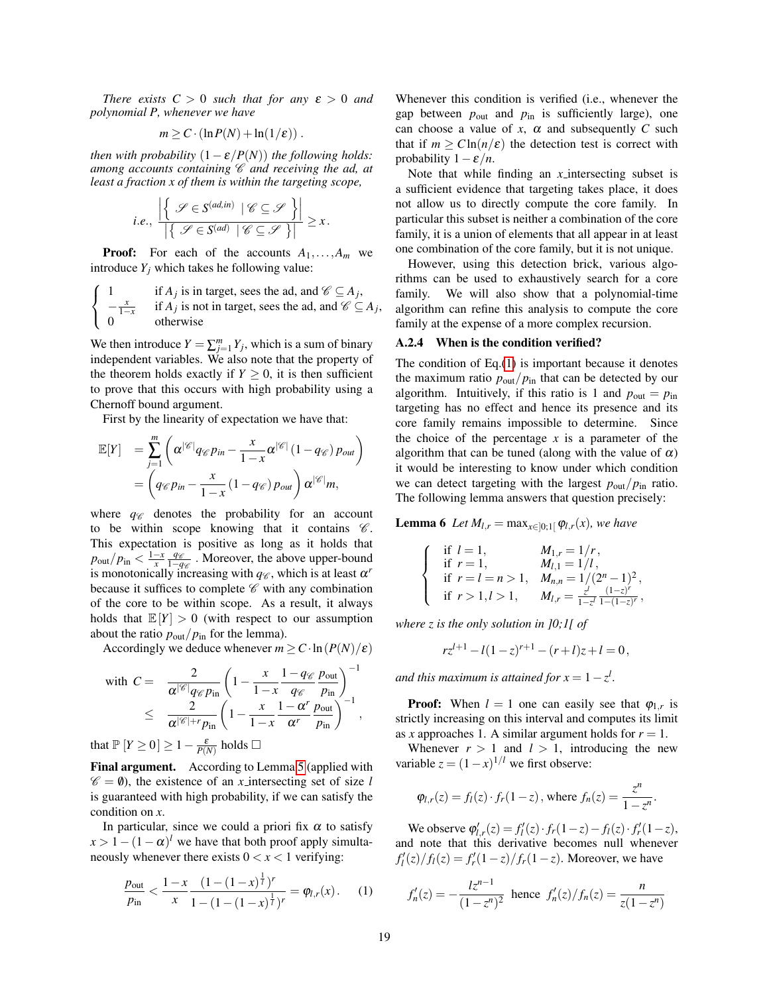*There exists*  $C > 0$  *such that for any*  $\varepsilon > 0$  *and polynomial P, whenever we have*

$$
m \geq C \cdot (\ln P(N) + \ln(1/\varepsilon)) \; .
$$

*then with probability*  $(1 - \varepsilon / P(N))$  *the following holds: among accounts containing* C *and receiving the ad, at least a fraction x of them is within the targeting scope,*

*i.e.*, 
$$
\frac{\left| \left\{ \mathcal{S} \in S^{(ad,in)} \mid \mathcal{C} \subseteq \mathcal{S} \right\} \right|}{\left| \left\{ \mathcal{S} \in S^{(ad)} \mid \mathcal{C} \subseteq \mathcal{S} \right\} \right|} \geq x.
$$

**Proof:** For each of the accounts  $A_1, \ldots, A_m$  we introduce  $Y_i$  which takes he following value:

$$
\begin{cases}\n1 & \text{if } A_j \text{ is in target, sees the ad, and } \mathcal{C} \subseteq A_j, \\
-\frac{x}{1-x} & \text{if } A_j \text{ is not in target, sees the ad, and } \mathcal{C} \subseteq A_j, \\
0 & \text{otherwise}\n\end{cases}
$$

We then introduce  $Y = \sum_{j=1}^{m} Y_j$ , which is a sum of binary independent variables. We also note that the property of the theorem holds exactly if  $Y \geq 0$ , it is then sufficient to prove that this occurs with high probability using a Chernoff bound argument.

First by the linearity of expectation we have that:

$$
\mathbb{E}[Y] = \sum_{j=1}^{m} \left( \alpha^{|\mathscr{C}|} q_{\mathscr{C}} p_{in} - \frac{x}{1-x} \alpha^{|\mathscr{C}|} (1 - q_{\mathscr{C}}) p_{out} \right)
$$
  
= 
$$
\left( q_{\mathscr{C}} p_{in} - \frac{x}{1-x} (1 - q_{\mathscr{C}}) p_{out} \right) \alpha^{|\mathscr{C}|} m,
$$

where  $q_{\mathscr{C}}$  denotes the probability for an account to be within scope knowing that it contains  $\mathscr{C}$ . This expectation is positive as long as it holds that  $p_{\text{out}}/p_{\text{in}} < \frac{1-x}{x} \frac{q_{\mathscr{C}}}{1-q}$ <del>q</del><sup>*q*</sup> ∴ Moreover, the above upper-bound is monotonically increasing with  $q_{\mathscr{C}}$ , which is at least  $\alpha^{r}$ because it suffices to complete  $\mathscr C$  with any combination of the core to be within scope. As a result, it always holds that  $\mathbb{E}[Y] > 0$  (with respect to our assumption about the ratio  $p_{\text{out}}/p_{\text{in}}$  for the lemma).

Accordingly we deduce whenever  $m \geq C \cdot \ln(P(N)/\varepsilon)$ 

with 
$$
C = \frac{2}{\alpha^{|\mathscr{C}|} q_{\mathscr{C}} p_{\text{in}}} \left( 1 - \frac{x}{1 - x} \frac{1 - q_{\mathscr{C}} p_{\text{out}}}{q_{\mathscr{C}}} \frac{p_{\text{out}}}{p_{\text{in}}} \right)^{-1}
$$
  

$$
\leq \frac{2}{\alpha^{|\mathscr{C}| + r} p_{\text{in}}} \left( 1 - \frac{x}{1 - x} \frac{1 - \alpha^{r}}{\alpha^{r}} \frac{p_{\text{out}}}{p_{\text{in}}} \right)^{-1},
$$

that  $\mathbb{P}\left[Y \geq 0\right] \geq 1 - \frac{\varepsilon}{P(N)}$  holds  $\Box$ 

Final argument. According to Lemma [5](#page-17-0) (applied with  $\mathscr{C} = \emptyset$ , the existence of an *x* intersecting set of size *l* is guaranteed with high probability, if we can satisfy the condition on *x*.

In particular, since we could a priori fix  $\alpha$  to satisfy  $x > 1 - (1 - \alpha)^l$  we have that both proof apply simultaneously whenever there exists  $0 < x < 1$  verifying:

<span id="page-18-0"></span>
$$
\frac{p_{\text{out}}}{p_{\text{in}}} < \frac{1-x}{x} \frac{(1-(1-x)^{\frac{1}{l}})^r}{1-(1-(1-x)^{\frac{1}{l}})^r} = \varphi_{l,r}(x). \tag{1}
$$

Whenever this condition is verified (i.e., whenever the gap between  $p_{\text{out}}$  and  $p_{\text{in}}$  is sufficiently large), one can choose a value of  $x$ ,  $\alpha$  and subsequently  $C$  such that if  $m \geq C \ln(n/\varepsilon)$  the detection test is correct with probability  $1 - \varepsilon/n$ .

Note that while finding an *x* intersecting subset is a sufficient evidence that targeting takes place, it does not allow us to directly compute the core family. In particular this subset is neither a combination of the core family, it is a union of elements that all appear in at least one combination of the core family, but it is not unique.

However, using this detection brick, various algorithms can be used to exhaustively search for a core family. We will also show that a polynomial-time algorithm can refine this analysis to compute the core family at the expense of a more complex recursion.

### A.2.4 When is the condition verified?

The condition of  $Eq.(1)$  $Eq.(1)$  is important because it denotes the maximum ratio  $p_{\text{out}}/p_{\text{in}}$  that can be detected by our algorithm. Intuitively, if this ratio is 1 and  $p_{\text{out}} = p_{\text{in}}$ targeting has no effect and hence its presence and its core family remains impossible to determine. Since the choice of the percentage  $x$  is a parameter of the algorithm that can be tuned (along with the value of  $\alpha$ ) it would be interesting to know under which condition we can detect targeting with the largest  $p_{\text{out}}/p_{\text{in}}$  ratio. The following lemma answers that question precisely:

**Lemma 6** *Let*  $M_{l,r} = \max_{x \in [0;1]} \varphi_{l,r}(x)$ *, we have* 

$$
\begin{cases}\n\text{if } l = 1, & M_{1,r} = 1/r, \\
\text{if } r = 1, & M_{l,1} = 1/l, \\
\text{if } r = l = n > 1, & M_{n,n} = 1/(2^n - 1)^2, \\
\text{if } r > 1, l > 1, & M_{l,r} = \frac{z^l}{1 - z^l} \frac{(1 - z)^r}{1 - (1 - z)^r},\n\end{cases}
$$

*where z is the only solution in ]0;1[ of*

$$
rz^{l+1} - l(1-z)^{r+1} - (r+l)z + l = 0,
$$

*and this maximum is attained for*  $x = 1 - z^l$ *.* 

**Proof:** When  $l = 1$  one can easily see that  $\varphi_{1,r}$  is strictly increasing on this interval and computes its limit as *x* approaches 1. A similar argument holds for  $r = 1$ .

Whenever  $r > 1$  and  $l > 1$ , introducing the new variable  $z = (1 - x)^{1/l}$  we first observe:

$$
\varphi_{l,r}(z) = f_l(z) \cdot f_r(1-z), \text{ where } f_n(z) = \frac{z^n}{1-z^n}.
$$

We observe  $\varphi'_{l,r}(z) = f'_{l}(z) \cdot f_{r}(1-z) - f_{l}(z) \cdot f'_{r}(1-z),$ and note that this derivative becomes null whenever  $f'_{l}(z)/f_{l}(z) = f'_{r}(1-z)/f_{r}(1-z)$ . Moreover, we have

$$
f'_n(z) = -\frac{lz^{n-1}}{(1 - z^n)^2}
$$
 hence  $f'_n(z)/f_n(z) = \frac{n}{z(1 - z^n)}$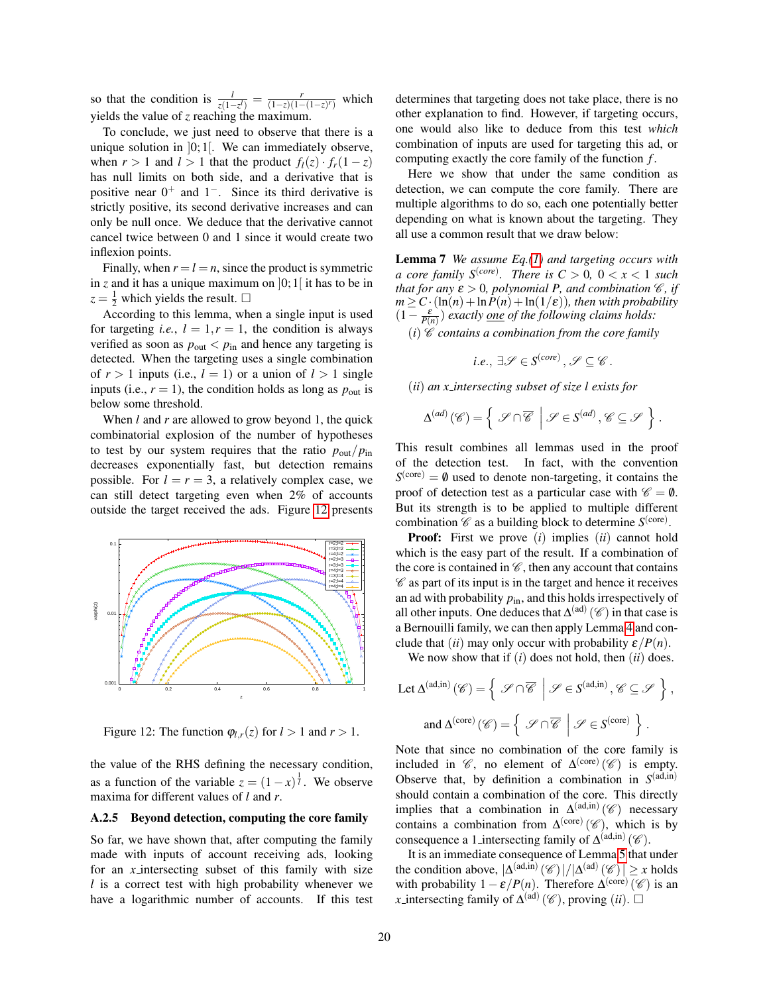so that the condition is  $\frac{l}{z(1-z^{l})} = \frac{r}{(1-z)(1-(1-z)^{r})}$  which yields the value of *z* reaching the maximum.

To conclude, we just need to observe that there is a unique solution in  $]0;1[$ . We can immediately observe, when  $r > 1$  and  $l > 1$  that the product  $f_l(z) \cdot f_r(1 - z)$ has null limits on both side, and a derivative that is positive near  $0^+$  and  $1^-$ . Since its third derivative is strictly positive, its second derivative increases and can only be null once. We deduce that the derivative cannot cancel twice between 0 and 1 since it would create two inflexion points.

Finally, when  $r = l = n$ , since the product is symmetric in *z* and it has a unique maximum on  $]0;1[$  it has to be in  $z = \frac{1}{2}$  which yields the result.  $\square$ 

According to this lemma, when a single input is used for targeting *i.e.*,  $l = 1, r = 1$ , the condition is always verified as soon as  $p_{\text{out}} < p_{\text{in}}$  and hence any targeting is detected. When the targeting uses a single combination of  $r > 1$  inputs (i.e.,  $l = 1$ ) or a union of  $l > 1$  single inputs (i.e.,  $r = 1$ ), the condition holds as long as  $p_{\text{out}}$  is below some threshold.

When *l* and *r* are allowed to grow beyond 1, the quick combinatorial explosion of the number of hypotheses to test by our system requires that the ratio  $p_{\text{out}}/p_{\text{in}}$ decreases exponentially fast, but detection remains possible. For  $l = r = 3$ , a relatively complex case, we can still detect targeting even when 2% of accounts outside the target received the ads. Figure [12](#page-19-0) presents



<span id="page-19-0"></span>Figure 12: The function  $\varphi_{l,r}(z)$  for  $l > 1$  and  $r > 1$ .

the value of the RHS defining the necessary condition, as a function of the variable  $z = (1 - x)^{\frac{1}{l}}$ . We observe maxima for different values of *l* and *r*.

#### A.2.5 Beyond detection, computing the core family

So far, we have shown that, after computing the family made with inputs of account receiving ads, looking for an *x* intersecting subset of this family with size *l* is a correct test with high probability whenever we have a logarithmic number of accounts. If this test determines that targeting does not take place, there is no other explanation to find. However, if targeting occurs, one would also like to deduce from this test *which* combination of inputs are used for targeting this ad, or computing exactly the core family of the function *f* .

Here we show that under the same condition as detection, we can compute the core family. There are multiple algorithms to do so, each one potentially better depending on what is known about the targeting. They all use a common result that we draw below:

Lemma 7 *We assume Eq.[\(1\)](#page-18-0) and targeting occurs with a core family*  $S^{(core)}$ *. There is*  $C > 0$ *,*  $0 < x < 1$  *such that for any*  $\varepsilon > 0$ *, polynomial P, and combination*  $\mathcal{C}$ *, if*  $m \geq C \cdot (\ln(n) + \ln P(n) + \ln(1/\varepsilon))$ *, then with probability*  $(1 - \frac{\varepsilon}{P(n)})$  *exactly <u>one</u> of the following claims holds:* 

 $(i)$   $\mathcal C$  *contains a combination from the core family* 

 $i.e., \exists \mathscr{S} \in S^{(core)}, \mathscr{S} \subseteq \mathscr{C}$ .

(*ii*) *an x intersecting subset of size l exists for*

$$
\Delta^{(ad)}(\mathscr{C}) = \left\{ \left. \mathscr{S} \cap \overline{\mathscr{C}} \right| \mathscr{S} \in S^{(ad)}, \mathscr{C} \subseteq \mathscr{S} \right\}.
$$

This result combines all lemmas used in the proof of the detection test. In fact, with the convention  $S<sup>(core)</sup> = \emptyset$  used to denote non-targeting, it contains the proof of detection test as a particular case with  $\mathscr{C} = \emptyset$ . But its strength is to be applied to multiple different combination  $\mathscr C$  as a building block to determine  $S^{\text{(core)}}$ .

**Proof:** First we prove  $(i)$  implies  $(ii)$  cannot hold  $\left\| \begin{array}{c} \frac{1}{|x|^{2}} \rightarrow \\ \frac{1}{|x|^{2}} \rightarrow \frac{1}{|x|^{2}} \end{array} \right\|$  which is the easy part of the result. If a combination of r=3;l=3  $\frac{1}{\sqrt{2}}$  the core is contained in  $\mathscr{C}$ , then any account that contains  $\mathbb{R}^{\frac{n+2}{2}}$   $\mathscr{C}$  as part of its input is in the target and hence it receives an ad with probability  $p_{in}$ , and this holds irrespectively of all other inputs. One deduces that  $\Delta^{(ad)}(\mathscr{C})$  in that case is a Bernouilli family, we can then apply Lemma [4](#page-17-1) and conclude that (*ii*) may only occur with probability  $\varepsilon/P(n)$ .

We now show that if (*i*) does not hold, then (*ii*) does.

$$
\begin{aligned} \text{Let } \Delta^{(\text{ad,in})}\left(\mathscr{C}\right) = \left\{ \begin{array}{c} \mathscr{S} \cap \overline{\mathscr{C}} \end{array} \middle| \ \mathscr{S} \in S^{(\text{ad,in})}\text{, } \mathscr{C} \subseteq \mathscr{S} \end{array} \right\}, \\ \text{and } \Delta^{(\text{core})}\left(\mathscr{C}\right) = \left\{ \begin{array}{c} \mathscr{S} \cap \overline{\mathscr{C}} \end{array} \middle| \ \mathscr{S} \in S^{(\text{core})} \end{array} \right\}. \end{aligned}
$$

Note that since no combination of the core family is included in  $\mathscr{C}$ , no element of  $\Delta^{\text{(core)}}(\mathscr{C})$  is empty. Observe that, by definition a combination in  $S^{(ad,in)}$ should contain a combination of the core. This directly implies that a combination in  $\Delta^{(ad,in)}(\mathscr{C})$  necessary contains a combination from  $\Delta^{\text{(core)}}(\mathscr{C})$ , which is by consequence a 1 intersecting family of  $\Delta^{(ad,in)}(\mathcal{C})$ .

It is an immediate consequence of Lemma [5](#page-17-0) that under the condition above,  $|\Delta^{(ad,in)}(\mathcal{C})|/|\Delta^{(ad)}(\mathcal{C})| \geq x$  holds with probability  $1 - \varepsilon / P(n)$ . Therefore  $\Delta^{\text{(core)}}(\mathscr{C})$  is an *x* intersecting family of  $\Delta^{(ad)}(\mathscr{C})$ , proving (*ii*).  $\square$